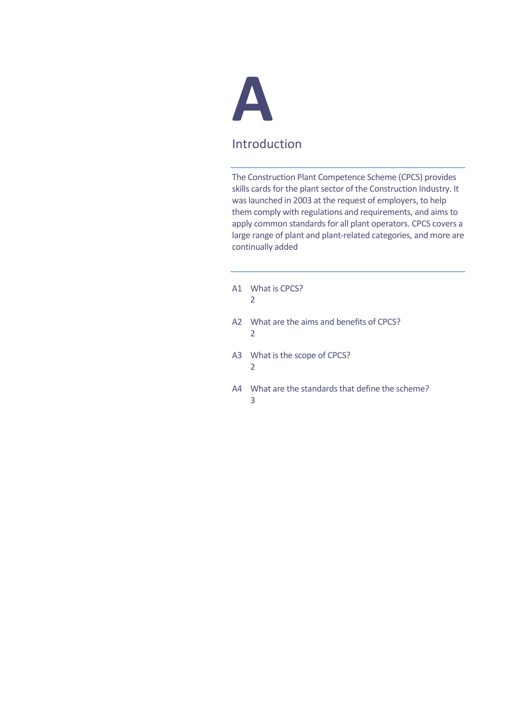

# Introduction

The Construction Plant Competence Scheme (CPCS) provides skills cards for the plant sector of the Construction Industry. It was launched in 2003 at the request of employers, to help them comply with regulations and requirements, and aims to apply common standards for all plant operators. CPCS covers a large range of plant and plant-related categories, and more are continually added

- A1 What is CPCS? 2
- A2 What are the aims and benefits of CPCS? 2
- A3 What is the scope of CPCS? 2
- A4 What are the standards that define the scheme? 3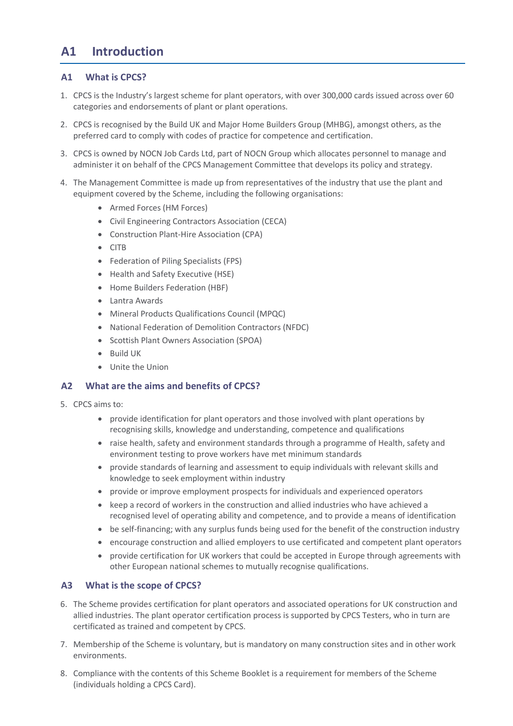# **A1 Introduction**

# **A1 What is CPCS?**

- 1. CPCS is the Industry's largest scheme for plant operators, with over 300,000 cards issued across over 60 categories and endorsements of plant or plant operations.
- 2. CPCS is recognised by the Build UK and Major Home Builders Group (MHBG), amongst others, as the preferred card to comply with codes of practice for competence and certification.
- 3. CPCS is owned by NOCN Job Cards Ltd, part of NOCN Group which allocates personnel to manage and administer it on behalf of the CPCS Management Committee that develops its policy and strategy.
- 4. The Management Committee is made up from representatives of the industry that use the plant and equipment covered by the Scheme, including the following organisations:
	- Armed Forces (HM Forces)
	- Civil Engineering Contractors Association (CECA)
	- Construction Plant-Hire Association (CPA)
	- CITB
	- Federation of Piling Specialists (FPS)
	- Health and Safety Executive (HSE)
	- Home Builders Federation (HBF)
	- Lantra Awards
	- Mineral Products Qualifications Council (MPQC)
	- National Federation of Demolition Contractors (NFDC)
	- Scottish Plant Owners Association (SPOA)
	- Build UK
	- Unite the Union

# **A2 What are the aims and benefits of CPCS?**

- 5. CPCS aims to:
	- provide identification for plant operators and those involved with plant operations by recognising skills, knowledge and understanding, competence and qualifications
	- raise health, safety and environment standards through a programme of Health, safety and environment testing to prove workers have met minimum standards
	- provide standards of learning and assessment to equip individuals with relevant skills and knowledge to seek employment within industry
	- provide or improve employment prospects for individuals and experienced operators
	- keep a record of workers in the construction and allied industries who have achieved a recognised level of operating ability and competence, and to provide a means of identification
	- be self-financing; with any surplus funds being used for the benefit of the construction industry
	- encourage construction and allied employers to use certificated and competent plant operators
	- provide certification for UK workers that could be accepted in Europe through agreements with other European national schemes to mutually recognise qualifications.

# **A3 What is the scope of CPCS?**

- 6. The Scheme provides certification for plant operators and associated operations for UK construction and allied industries. The plant operator certification process is supported by CPCS Testers, who in turn are certificated as trained and competent by CPCS.
- 7. Membership of the Scheme is voluntary, but is mandatory on many construction sites and in other work environments.
- 8. Compliance with the contents of this Scheme Booklet is a requirement for members of the Scheme (individuals holding a CPCS Card).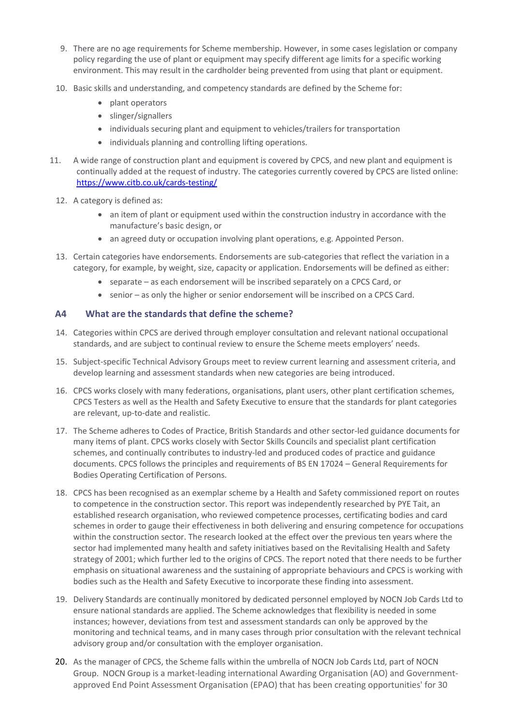- 9. There are no age requirements for Scheme membership. However, in some cases legislation or company policy regarding the use of plant or equipment may specify different age limits for a specific working environment. This may result in the cardholder being prevented from using that plant or equipment.
- 10. Basic skills and understanding, and competency standards are defined by the Scheme for:
	- plant operators
	- slinger/signallers
	- individuals securing plant and equipment to vehicles/trailers for transportation
	- individuals planning and controlling lifting operations.
- 11. A wide range of construction plant and equipment is covered by CPCS, and new plant and equipment is continually added at the request of industry. The categories currently covered by CPCS are listed online: <https://www.citb.co.uk/cards-testing/>
	- 12. A category is defined as:
		- an item of plant or equipment used within the construction industry in accordance with the manufacture's basic design, or
		- an agreed duty or occupation involving plant operations, e.g. Appointed Person.
	- 13. Certain categories have endorsements. Endorsements are sub-categories that reflect the variation in a category, for example, by weight, size, capacity or application. Endorsements will be defined as either:
		- separate as each endorsement will be inscribed separately on a CPCS Card, or
		- senior as only the higher or senior endorsement will be inscribed on a CPCS Card.

## **A4 What are the standards that define the scheme?**

- 14. Categories within CPCS are derived through employer consultation and relevant national occupational standards, and are subject to continual review to ensure the Scheme meets employers' needs.
- 15. Subject-specific Technical Advisory Groups meet to review current learning and assessment criteria, and develop learning and assessment standards when new categories are being introduced.
- 16. CPCS works closely with many federations, organisations, plant users, other plant certification schemes, CPCS Testers as well as the Health and Safety Executive to ensure that the standards for plant categories are relevant, up-to-date and realistic.
- 17. The Scheme adheres to Codes of Practice, British Standards and other sector-led guidance documents for many items of plant. CPCS works closely with Sector Skills Councils and specialist plant certification schemes, and continually contributes to industry-led and produced codes of practice and guidance documents. CPCS follows the principles and requirements of BS EN 17024 – General Requirements for Bodies Operating Certification of Persons.
- 18. CPCS has been recognised as an exemplar scheme by a Health and Safety commissioned report on routes to competence in the construction sector. This report was independently researched by PYE Tait, an established research organisation, who reviewed competence processes, certificating bodies and card schemes in order to gauge their effectiveness in both delivering and ensuring competence for occupations within the construction sector. The research looked at the effect over the previous ten years where the sector had implemented many health and safety initiatives based on the Revitalising Health and Safety strategy of 2001; which further led to the origins of CPCS. The report noted that there needs to be further emphasis on situational awareness and the sustaining of appropriate behaviours and CPCS is working with bodies such as the Health and Safety Executive to incorporate these finding into assessment.
- 19. Delivery Standards are continually monitored by dedicated personnel employed by NOCN Job Cards Ltd to ensure national standards are applied. The Scheme acknowledges that flexibility is needed in some instances; however, deviations from test and assessment standards can only be approved by the monitoring and technical teams, and in many cases through prior consultation with the relevant technical advisory group and/or consultation with the employer organisation.
- 20. As the manager of CPCS, the Scheme falls within the umbrella of NOCN Job Cards Ltd, part of NOCN Group. NOCN Group is a market-leading international Awarding Organisation (AO) and Governmentapproved End Point Assessment Organisation (EPAO) that has been creating opportunities' for 30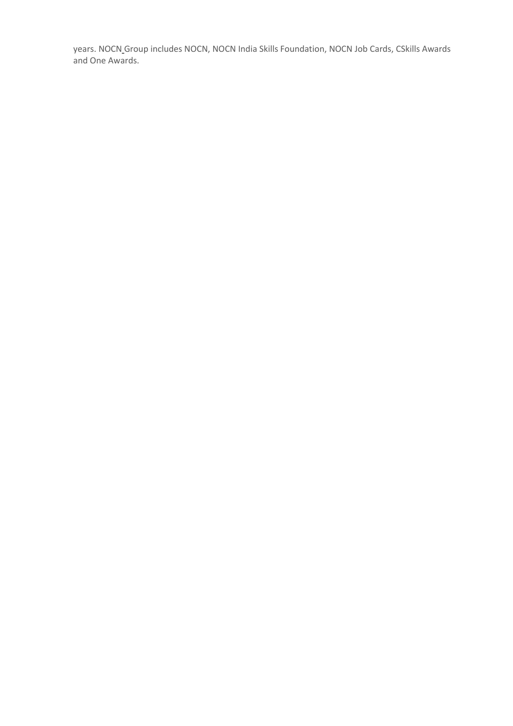years. NOCN [Group](https://www.nocn.org.uk/about/the-nocn-group/) includes NOCN, NOCN India Skills Foundation, NOCN Job Cards, CSkills Awards and One Awards.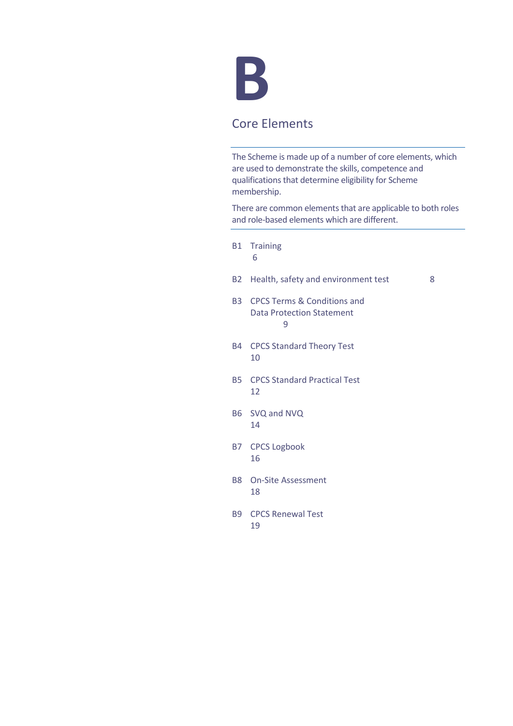

# Core Elements

The Scheme is made up of a number of core elements, which are used to demonstrate the skills, competence and qualifications that determine eligibility for Scheme membership.

There are common elements that are applicable to both roles and role-based elements which are different.

- B1 Training 6
- B2 Health, safety and environment test 8
- B3 CPCS Terms & Conditions and Data Protection Statement 9
- B4 CPCS Standard Theory Test 10
- B5 CPCS Standard Practical Test 12
- B6 SVQ and NVQ 14
- B7 CPCS Logbook 16
- B8 On-Site Assessment 18
- B9 CPCS Renewal Test 19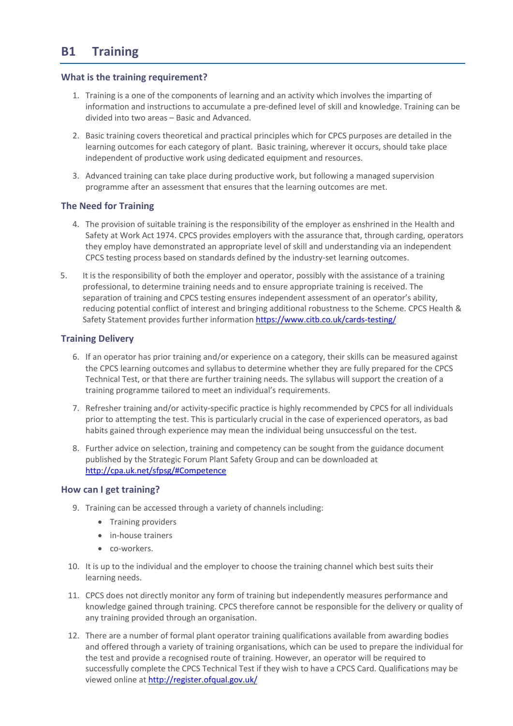# **B1 Training**

### **What is the training requirement?**

- 1. Training is a one of the components of learning and an [activity](http://www.businessdictionary.com/definition/activity.html) which involves the imparting of [information](http://www.businessdictionary.com/definition/information.html) and [instructions](http://www.businessdictionary.com/definition/instructions.html) to accumulate a pre-defined level of skill and knowledge. Training can be divided into two areas – Basic and Advanced.
- 2. Basic training covers theoretical and practical principles which for CPCS purposes are detailed in the learning outcomes for each category of plant. Basic training, wherever it occurs, should take place independent of productive work using dedicated equipment and resources.
- 3. Advanced training can take place during productive work, but following a managed supervision programme after an assessment that ensures that the learning outcomes are met.

# **The Need for Training**

- 4. The provision of suitable training is the responsibility of the employer as enshrined in the Health and Safety at Work Act 1974. CPCS provides employers with the assurance that, through carding, operators they employ have demonstrated an appropriate level of skill and understanding via an independent CPCS testing process based on standards defined by the industry-set learning outcomes.
- 5. It is the responsibility of both the employer and operator, possibly with the assistance of a training professional, to determine training needs and to ensure appropriate training is received. The separation of training and CPCS testing ensures independent assessment of an operator's ability, reducing potential conflict of interest and bringing additional robustness to the Scheme. CPCS Health & Safety Statement provides further information <https://www.citb.co.uk/cards-testing/>

## **Training Delivery**

- 6. If an operator has prior training and/or experience on a category, their skills can be measured against the CPCS learning outcomes and syllabus to determine whether they are fully prepared for the CPCS Technical Test, or that there are further training needs. The syllabus will support the creation of a training programme tailored to meet an individual's requirements.
- 7. Refresher training and/or activity-specific practice is highly recommended by CPCS for all individuals prior to attempting the test. This is particularly crucial in the case of experienced operators, as bad habits gained through experience may mean the individual being unsuccessful on the test.
- 8. Further advice on selection, training and competency can be sought from the guidance document published by the Strategic Forum Plant Safety Group and can be downloaded at <http://cpa.uk.net/sfpsg/#Competence>

### **How can I get training?**

- 9. Training can be accessed through a variety of channels including:
	- Training providers
	- in-house trainers
	- co-workers.
- 10. It is up to the individual and the employer to choose the training channel which best suits their learning needs.
- 11. CPCS does not directly monitor any form of training but independently measures performance and knowledge gained through training. CPCS therefore cannot be responsible for the delivery or quality of any training provided through an organisation.
- 12. There are a number of formal plant operator training qualifications available from awarding bodies and offered through a variety of training organisations, which can be used to prepare the individual for the test and provide a recognised route of training. However, an operator will be required to successfully complete the CPCS Technical Test if they wish to have a CPCS Card. Qualifications may be viewed online at<http://register.ofqual.gov.uk/>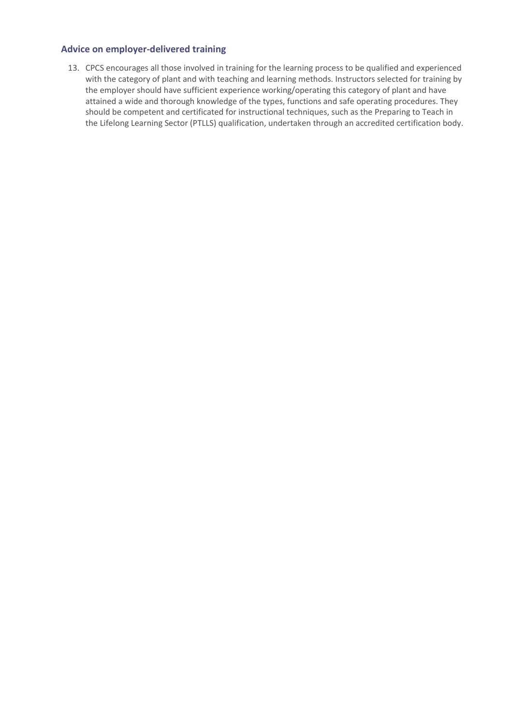## **Advice on employer-delivered training**

13. CPCS encourages all those involved in training for the learning process to be qualified and experienced with the category of plant and with teaching and learning methods. Instructors selected for training by the employer should have sufficient experience working/operating this category of plant and have attained a wide and thorough knowledge of the types, functions and safe operating procedures. They should be competent and certificated for instructional techniques, such as the Preparing to Teach in the Lifelong Learning Sector (PTLLS) qualification, undertaken through an accredited certification body.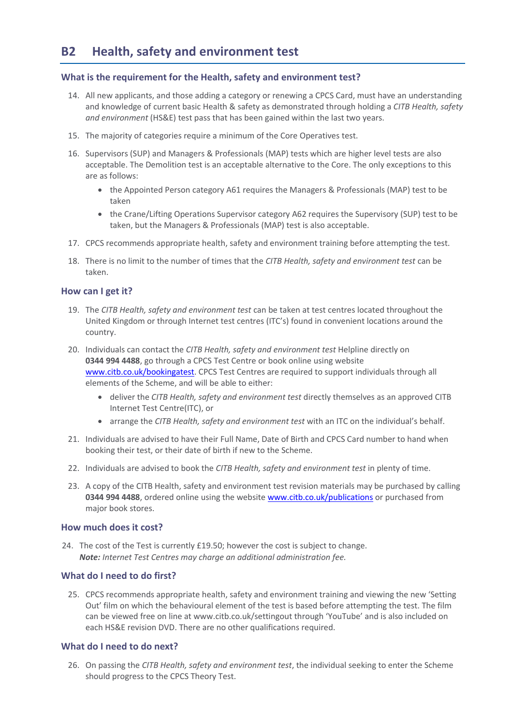# **What is the requirement for the Health, safety and environment test?**

- 14. All new applicants, and those adding a category or renewing a CPCS Card, must have an understanding and knowledge of current basic Health & safety as demonstrated through holding a *CITB Health, safety and environment* (HS&E) test pass that has been gained within the last two years.
- 15. The majority of categories require a minimum of the Core Operatives test.
- 16. Supervisors (SUP) and Managers & Professionals (MAP) tests which are higher level tests are also acceptable. The Demolition test is an acceptable alternative to the Core. The only exceptions to this are as follows:
	- the Appointed Person category A61 requires the Managers & Professionals (MAP) test to be taken
	- the Crane/Lifting Operations Supervisor category A62 requires the Supervisory (SUP) test to be taken, but the Managers & Professionals (MAP) test is also acceptable.
- 17. CPCS recommends appropriate health, safety and environment training before attempting the test.
- 18. There is no limit to the number of times that the *CITB Health, safety and environment test* can be taken.

## **How can I get it?**

- 19. The *CITB Health, safety and environment test* can be taken at test centres located throughout the United Kingdom or through Internet test centres (ITC's) found in convenient locations around the country.
- 20. Individuals can contact the *CITB Health, safety and environment test* Helpline directly on **0344 994 4488**, go through a CPCS Test Centre or book online using website [www.citb.co.uk/bookingatest.](http://www.citb.co.uk/bookingatest) CPCS Test Centres are required to support individuals through all elements of the Scheme, and will be able to either:
	- deliver the *CITB Health, safety and environment test* directly themselves as an approved CITB Internet Test Centre(ITC), or
	- arrange the *CITB Health, safety and environment test* with an ITC on the individual's behalf.
- 21. Individuals are advised to have their Full Name, Date of Birth and CPCS Card number to hand when booking their test, or their date of birth if new to the Scheme.
- 22. Individuals are advised to book the *CITB Health, safety and environment test* in plenty of time.
- 23. A copy of the CITB Health, safety and environment test revision materials may be purchased by calling **0344 994 4488**, ordered online using the websit[e www.citb.co.uk/publications](http://www.citb.co.uk/publications) or purchased from major book stores.

### **How much does it cost?**

24. The cost of the Test is currently £19.50; however the cost is subject to change. *Note: Internet Test Centres may charge an additional administration fee.*

### **What do I need to do first?**

25. CPCS recommends appropriate health, safety and environment training and viewing the new 'Setting Out' film on which the behavioural element of the test is based before attempting the test. The film can be viewed free on line a[t www.citb.co.uk/settingout](http://www.cskills.org/settingout) through 'YouTube' and is also included on each HS&E revision DVD. There are no other qualifications required.

### **What do I need to do next?**

26. On passing the *CITB Health, safety and environment test*, the individual seeking to enter the Scheme should progress to the CPCS Theory Test.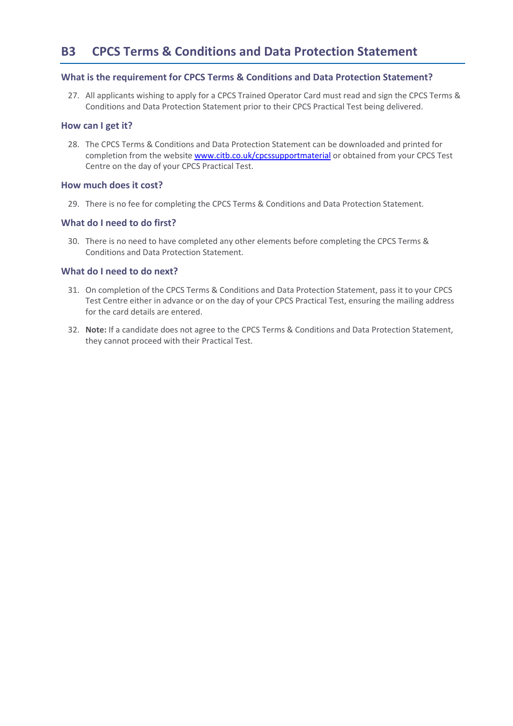## **What is the requirement for CPCS Terms & Conditions and Data Protection Statement?**

27. All applicants wishing to apply for a CPCS Trained Operator Card must read and sign the CPCS Terms & Conditions and Data Protection Statement prior to their CPCS Practical Test being delivered.

### **How can I get it?**

28. The CPCS Terms & Conditions and Data Protection Statement can be downloaded and printed for completion from the website [www.citb.co.uk/cpcssupportmaterial](http://www.citb.co.uk/cpcssupportmaterial) or obtained from your CPCS Test Centre on the day of your CPCS Practical Test.

#### **How much does it cost?**

29. There is no fee for completing the CPCS Terms & Conditions and Data Protection Statement.

### **What do I need to do first?**

30. There is no need to have completed any other elements before completing the CPCS Terms & Conditions and Data Protection Statement.

### **What do I need to do next?**

- 31. On completion of the CPCS Terms & Conditions and Data Protection Statement, pass it to your CPCS Test Centre either in advance or on the day of your CPCS Practical Test, ensuring the mailing address for the card details are entered.
- 32. **Note:** If a candidate does not agree to the CPCS Terms & Conditions and Data Protection Statement, they cannot proceed with their Practical Test.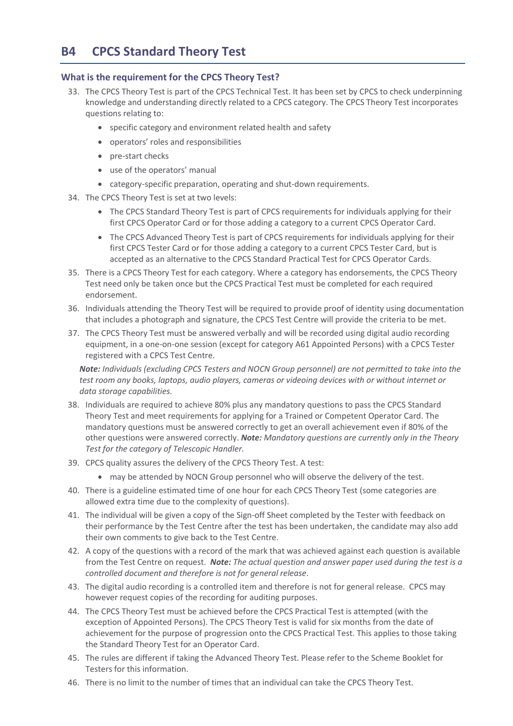# **B4 CPCS Standard Theory Test**

## **What is the requirement for the CPCS Theory Test?**

- 33. The CPCS Theory Test is part of the CPCS Technical Test. It has been set by CPCS to check underpinning knowledge and understanding directly related to a CPCS category. The CPCS Theory Test incorporates questions relating to:
	- specific category and environment related health and safety
	- operators' roles and responsibilities
	- pre-start checks
	- use of the operators' manual
	- category-specific preparation, operating and shut-down requirements.
- 34. The CPCS Theory Test is set at two levels:
	- The CPCS Standard Theory Test is part of CPCS requirements for individuals applying for their first CPCS Operator Card or for those adding a category to a current CPCS Operator Card.
	- The CPCS Advanced Theory Test is part of CPCS requirements for individuals applying for their first CPCS Tester Card or for those adding a category to a current CPCS Tester Card, but is accepted as an alternative to the CPCS Standard Practical Test for CPCS Operator Cards.
- 35. There is a CPCS Theory Test for each category. Where a category has endorsements, the CPCS Theory Test need only be taken once but the CPCS Practical Test must be completed for each required endorsement.
- 36. Individuals attending the Theory Test will be required to provide proof of identity using documentation that includes a photograph and signature, the CPCS Test Centre will provide the criteria to be met.
- 37. The CPCS Theory Test must be answered verbally and will be recorded using digital audio recording equipment, in a one-on-one session (except for category A61 Appointed Persons) with a CPCS Tester registered with a CPCS Test Centre.

*Note: Individuals (excluding CPCS Testers and NOCN Group personnel) are not permitted to take into the test room any books, laptops, audio players, cameras or videoing devices with or without internet or data storage capabilities.*

- 38. Individuals are required to achieve 80% plus any mandatory questions to pass the CPCS Standard Theory Test and meet requirements for applying for a Trained or Competent Operator Card. The mandatory questions must be answered correctly to get an overall achievement even if 80% of the other questions were answered correctly. *Note: Mandatory questions are currently only in the Theory Test for the category of Telescopic Handler.*
- 39. CPCS quality assures the delivery of the CPCS Theory Test. A test:
	- may be attended by NOCN Group personnel who will observe the delivery of the test.
- 40. There is a guideline estimated time of one hour for each CPCS Theory Test (some categories are allowed extra time due to the complexity of questions).
- 41. The individual will be given a copy of the Sign-off Sheet completed by the Tester with feedback on their performance by the Test Centre after the test has been undertaken, the candidate may also add their own comments to give back to the Test Centre.
- 42. A copy of the questions with a record of the mark that was achieved against each question is available from the Test Centre on request. *Note: The actual question and answer paper used during the test is a controlled document and therefore is not for general release*.
- 43. The digital audio recording is a controlled item and therefore is not for general release. CPCS may however request copies of the recording for auditing purposes.
- 44. The CPCS Theory Test must be achieved before the CPCS Practical Test is attempted (with the exception of Appointed Persons). The CPCS Theory Test is valid for six months from the date of achievement for the purpose of progression onto the CPCS Practical Test. This applies to those taking the Standard Theory Test for an Operator Card.
- 45. The rules are different if taking the Advanced Theory Test. Please refer to the Scheme Booklet for Testers for this information.
- 46. There is no limit to the number of times that an individual can take the CPCS Theory Test.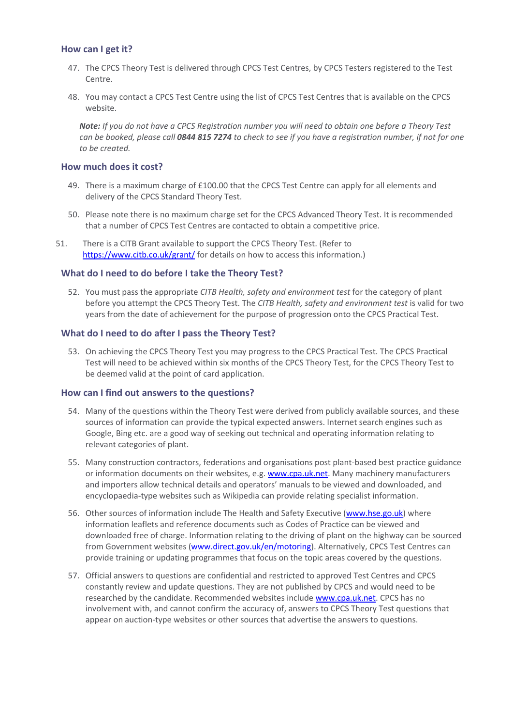### **How can I get it?**

- 47. The CPCS Theory Test is delivered through CPCS Test Centres, by CPCS Testers registered to the Test Centre.
- 48. You may contact a CPCS Test Centre using the list of CPCS Test Centres that is available on the CPCS website.

*Note: If you do not have a CPCS Registration number you will need to obtain one before a Theory Test can be booked, please call 0844 815 7274 to check to see if you have a registration number, if not for one to be created.*

### **How much does it cost?**

- 49. There is a maximum charge of £100.00 that the CPCS Test Centre can apply for all elements and delivery of the CPCS Standard Theory Test.
- 50. Please note there is no maximum charge set for the CPCS Advanced Theory Test. It is recommended that a number of CPCS Test Centres are contacted to obtain a competitive price.
- 51. There is a CITB Grant available to support the CPCS Theory Test. (Refer to <https://www.citb.co.uk/grant/> for details on how to access this information.)

## **What do I need to do before I take the Theory Test?**

52. You must pass the appropriate *CITB Health, safety and environment test* for the category of plant before you attempt the CPCS Theory Test. The *CITB Health, safety and environment test* is valid for two years from the date of achievement for the purpose of progression onto the CPCS Practical Test.

## **What do I need to do after I pass the Theory Test?**

53. On achieving the CPCS Theory Test you may progress to the CPCS Practical Test. The CPCS Practical Test will need to be achieved within six months of the CPCS Theory Test, for the CPCS Theory Test to be deemed valid at the point of card application.

### **How can I find out answers to the questions?**

- 54. Many of the questions within the Theory Test were derived from publicly available sources, and these sources of information can provide the typical expected answers. Internet search engines such as Google, Bing etc. are a good way of seeking out technical and operating information relating to relevant categories of plant.
- 55. Many construction contractors, federations and organisations post plant-based best practice guidance or information documents on their websites, e.g[. www.cpa.uk.net.](http://www.cpa.uk.net/) Many machinery manufacturers and importers allow technical details and operators' manuals to be viewed and downloaded, and encyclopaedia-type websites such as Wikipedia can provide relating specialist information.
- 56. Other sources of information include The Health and Safety Executive [\(www.hse.go.uk\)](http://www.hse.go.uk/) where information leaflets and reference documents such as Codes of Practice can be viewed and downloaded free of charge. Information relating to the driving of plant on the highway can be sourced from Government websites [\(www.direct.gov.uk/en/motoring\)](http://www.direct.gov.uk/en/motoring). Alternatively, CPCS Test Centres can provide training or updating programmes that focus on the topic areas covered by the questions.
- 57. Official answers to questions are confidential and restricted to approved Test Centres and CPCS constantly review and update questions. They are not published by CPCS and would need to be researched by the candidate. Recommended websites include [www.cpa.uk.net.](http://www.cpa.uk.net/) CPCS has no involvement with, and cannot confirm the accuracy of, answers to CPCS Theory Test questions that appear on auction-type websites or other sources that advertise the answers to questions.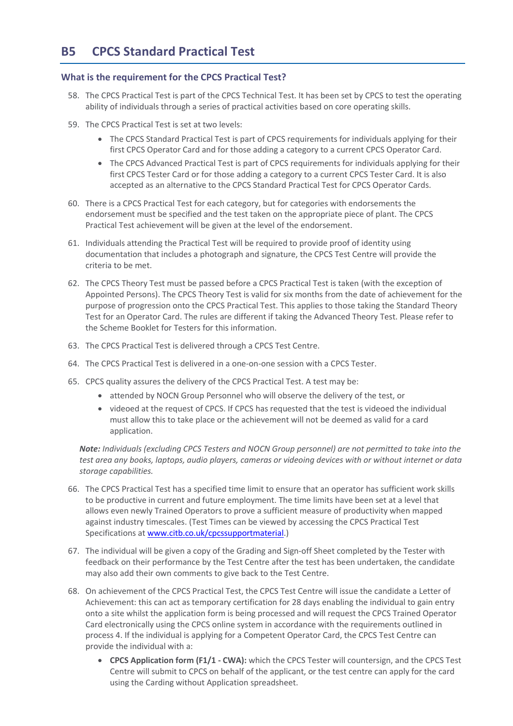## **What is the requirement for the CPCS Practical Test?**

- 58. The CPCS Practical Test is part of the CPCS Technical Test. It has been set by CPCS to test the operating ability of individuals through a series of practical activities based on core operating skills.
- 59. The CPCS Practical Test is set at two levels:
	- The CPCS Standard Practical Test is part of CPCS requirements for individuals applying for their first CPCS Operator Card and for those adding a category to a current CPCS Operator Card.
	- The CPCS Advanced Practical Test is part of CPCS requirements for individuals applying for their first CPCS Tester Card or for those adding a category to a current CPCS Tester Card. It is also accepted as an alternative to the CPCS Standard Practical Test for CPCS Operator Cards.
- 60. There is a CPCS Practical Test for each category, but for categories with endorsements the endorsement must be specified and the test taken on the appropriate piece of plant. The CPCS Practical Test achievement will be given at the level of the endorsement.
- 61. Individuals attending the Practical Test will be required to provide proof of identity using documentation that includes a photograph and signature, the CPCS Test Centre will provide the criteria to be met.
- 62. The CPCS Theory Test must be passed before a CPCS Practical Test is taken (with the exception of Appointed Persons). The CPCS Theory Test is valid for six months from the date of achievement for the purpose of progression onto the CPCS Practical Test. This applies to those taking the Standard Theory Test for an Operator Card. The rules are different if taking the Advanced Theory Test. Please refer to the Scheme Booklet for Testers for this information.
- 63. The CPCS Practical Test is delivered through a CPCS Test Centre.
- 64. The CPCS Practical Test is delivered in a one-on-one session with a CPCS Tester.
- 65. CPCS quality assures the delivery of the CPCS Practical Test. A test may be:
	- attended by NOCN Group Personnel who will observe the delivery of the test, or
	- videoed at the request of CPCS. If CPCS has requested that the test is videoed the individual must allow this to take place or the achievement will not be deemed as valid for a card application.

*Note: Individuals (excluding CPCS Testers and NOCN Group personnel) are not permitted to take into the test area any books, laptops, audio players, cameras or videoing devices with or without internet or data storage capabilities.*

- 66. The CPCS Practical Test has a specified time limit to ensure that an operator has sufficient work skills to be productive in current and future employment. The time limits have been set at a level that allows even newly Trained Operators to prove a sufficient measure of productivity when mapped against industry timescales. (Test Times can be viewed by accessing the CPCS Practical Test Specifications at [www.citb.co.uk/cpcssupportmaterial.](http://www.citb.co.uk/cpcssupportmaterial))
- 67. The individual will be given a copy of the Grading and Sign-off Sheet completed by the Tester with feedback on their performance by the Test Centre after the test has been undertaken, the candidate may also add their own comments to give back to the Test Centre.
- 68. On achievement of the CPCS Practical Test, the CPCS Test Centre will issue the candidate a Letter of Achievement: this can act as temporary certification for 28 days enabling the individual to gain entry onto a site whilst the application form is being processed and will request the CPCS Trained Operator Card electronically using the CPCS online system in accordance with the requirements outlined in process 4. If the individual is applying for a Competent Operator Card, the CPCS Test Centre can provide the individual with a:
	- **CPCS Application form (F1/1 - CWA):** which the CPCS Tester will countersign, and the CPCS Test Centre will submit to CPCS on behalf of the applicant, or the test centre can apply for the card using the Carding without Application spreadsheet.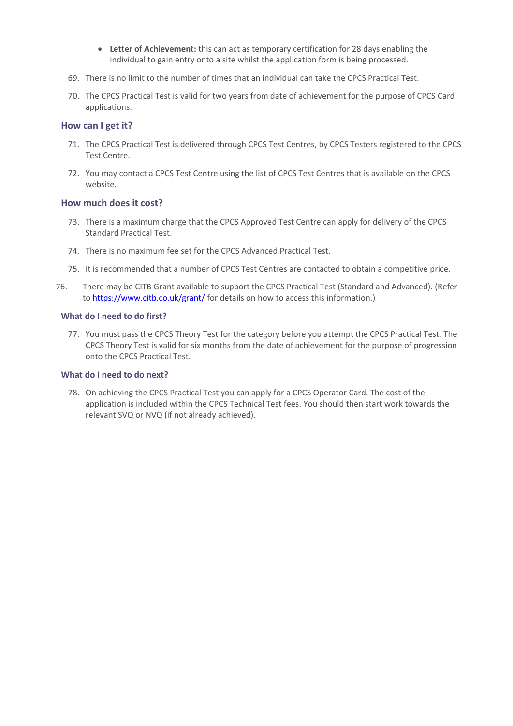- **Letter of Achievement:** this can act as temporary certification for 28 days enabling the individual to gain entry onto a site whilst the application form is being processed.
- 69. There is no limit to the number of times that an individual can take the CPCS Practical Test.
- 70. The CPCS Practical Test is valid for two years from date of achievement for the purpose of CPCS Card applications.

#### **How can I get it?**

- 71. The CPCS Practical Test is delivered through CPCS Test Centres, by CPCS Testers registered to the CPCS Test Centre.
- 72. You may contact a CPCS Test Centre using the list of CPCS Test Centres that is available on the CPCS website.

## **How much does it cost?**

- 73. There is a maximum charge that the CPCS Approved Test Centre can apply for delivery of the CPCS Standard Practical Test.
- 74. There is no maximum fee set for the CPCS Advanced Practical Test.
- 75. It is recommended that a number of CPCS Test Centres are contacted to obtain a competitive price.
- 76. There may be CITB Grant available to support the CPCS Practical Test (Standard and Advanced). (Refer to <https://www.citb.co.uk/grant/> for details on how to access this information.)

### **What do I need to do first?**

77. You must pass the CPCS Theory Test for the category before you attempt the CPCS Practical Test. The CPCS Theory Test is valid for six months from the date of achievement for the purpose of progression onto the CPCS Practical Test.

#### **What do I need to do next?**

78. On achieving the CPCS Practical Test you can apply for a CPCS Operator Card. The cost of the application is included within the CPCS Technical Test fees. You should then start work towards the relevant SVQ or NVQ (if not already achieved).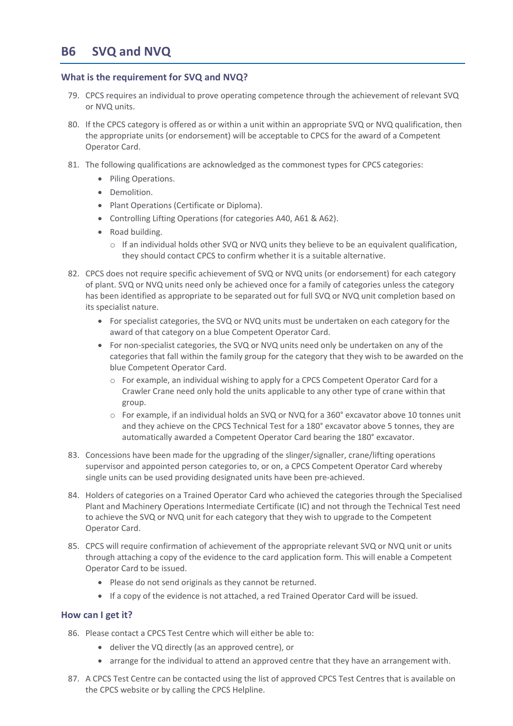# **B6 SVQ and NVQ**

## **What is the requirement for SVQ and NVQ?**

- 79. CPCS requires an individual to prove operating competence through the achievement of relevant SVQ or NVQ units.
- 80. If the CPCS category is offered as or within a unit within an appropriate SVQ or NVQ qualification, then the appropriate units (or endorsement) will be acceptable to CPCS for the award of a Competent Operator Card.
- 81. The following qualifications are acknowledged as the commonest types for CPCS categories:
	- Piling Operations.
	- Demolition.
	- Plant Operations (Certificate or Diploma).
	- Controlling Lifting Operations (for categories A40, A61 & A62).
	- Road building.
		- $\circ$  If an individual holds other SVQ or NVQ units they believe to be an equivalent qualification, they should contact CPCS to confirm whether it is a suitable alternative.
- 82. CPCS does not require specific achievement of SVQ or NVQ units (or endorsement) for each category of plant. SVQ or NVQ units need only be achieved once for a family of categories unless the category has been identified as appropriate to be separated out for full SVQ or NVQ unit completion based on its specialist nature.
	- For specialist categories, the SVQ or NVQ units must be undertaken on each category for the award of that category on a blue Competent Operator Card.
	- For non-specialist categories, the SVQ or NVQ units need only be undertaken on any of the categories that fall within the family group for the category that they wish to be awarded on the blue Competent Operator Card.
		- o For example, an individual wishing to apply for a CPCS Competent Operator Card for a Crawler Crane need only hold the units applicable to any other type of crane within that group.
		- o For example, if an individual holds an SVQ or NVQ for a 360° excavator above 10 tonnes unit and they achieve on the CPCS Technical Test for a 180° excavator above 5 tonnes, they are automatically awarded a Competent Operator Card bearing the 180° excavator.
- 83. Concessions have been made for the upgrading of the slinger/signaller, crane/lifting operations supervisor and appointed person categories to, or on, a CPCS Competent Operator Card whereby single units can be used providing designated units have been pre-achieved.
- 84. Holders of categories on a Trained Operator Card who achieved the categories through the Specialised Plant and Machinery Operations Intermediate Certificate (IC) and not through the Technical Test need to achieve the SVQ or NVQ unit for each category that they wish to upgrade to the Competent Operator Card.
- 85. CPCS will require confirmation of achievement of the appropriate relevant SVQ or NVQ unit or units through attaching a copy of the evidence to the card application form. This will enable a Competent Operator Card to be issued.
	- Please do not send originals as they cannot be returned.
	- If a copy of the evidence is not attached, a red Trained Operator Card will be issued.

### **How can I get it?**

- 86. Please contact a CPCS Test Centre which will either be able to:
	- deliver the VQ directly (as an approved centre), or
	- arrange for the individual to attend an approved centre that they have an arrangement with.
- 87. A CPCS Test Centre can be contacted using the list of approved CPCS Test Centres that is available on the CPCS website or by calling the CPCS Helpline.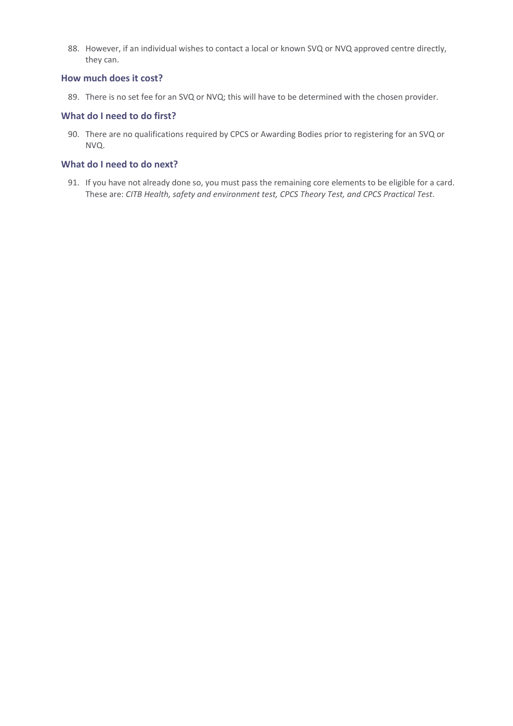88. However, if an individual wishes to contact a local or known SVQ or NVQ approved centre directly, they can.

### **How much does it cost?**

89. There is no set fee for an SVQ or NVQ; this will have to be determined with the chosen provider.

### **What do I need to do first?**

90. There are no qualifications required by CPCS or Awarding Bodies prior to registering for an SVQ or NVQ.

# **What do I need to do next?**

91. If you have not already done so, you must pass the remaining core elements to be eligible for a card. These are: *CITB Health, safety and environment test, CPCS Theory Test, and CPCS Practical Test*.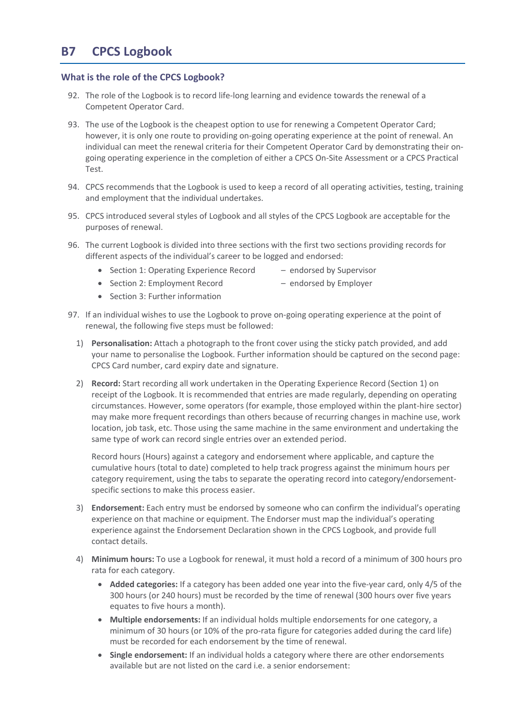# **B7 CPCS Logbook**

## **What is the role of the CPCS Logbook?**

- 92. The role of the Logbook is to record life-long learning and evidence towards the renewal of a Competent Operator Card.
- 93. The use of the Logbook is the cheapest option to use for renewing a Competent Operator Card; however, it is only one route to providing on-going operating experience at the point of renewal. An individual can meet the renewal criteria for their Competent Operator Card by demonstrating their ongoing operating experience in the completion of either a CPCS On-Site Assessment or a CPCS Practical Test.
- 94. CPCS recommends that the Logbook is used to keep a record of all operating activities, testing, training and employment that the individual undertakes.
- 95. CPCS introduced several styles of Logbook and all styles of the CPCS Logbook are acceptable for the purposes of renewal.
- 96. The current Logbook is divided into three sections with the first two sections providing records for different aspects of the individual's career to be logged and endorsed:
	- Section 1: Operating Experience Record endorsed by Supervisor
	- Section 2: Employment Record endorsed by Employer
	- Section 3: Further information
- 
- 97. If an individual wishes to use the Logbook to prove on-going operating experience at the point of renewal, the following five steps must be followed:
	- 1) **Personalisation:** Attach a photograph to the front cover using the sticky patch provided, and add your name to personalise the Logbook. Further information should be captured on the second page: CPCS Card number, card expiry date and signature.
	- 2) **Record:** Start recording all work undertaken in the Operating Experience Record (Section 1) on receipt of the Logbook. It is recommended that entries are made regularly, depending on operating circumstances. However, some operators (for example, those employed within the plant-hire sector) may make more frequent recordings than others because of recurring changes in machine use, work location, job task, etc. Those using the same machine in the same environment and undertaking the same type of work can record single entries over an extended period.

Record hours (Hours) against a category and endorsement where applicable, and capture the cumulative hours (total to date) completed to help track progress against the minimum hours per category requirement, using the tabs to separate the operating record into category/endorsementspecific sections to make this process easier.

- 3) **Endorsement:** Each entry must be endorsed by someone who can confirm the individual's operating experience on that machine or equipment. The Endorser must map the individual's operating experience against the Endorsement Declaration shown in the CPCS Logbook, and provide full contact details.
- 4) **Minimum hours:** To use a Logbook for renewal, it must hold a record of a minimum of 300 hours pro rata for each category.
	- **Added categories:** If a category has been added one year into the five-year card, only 4/5 of the 300 hours (or 240 hours) must be recorded by the time of renewal (300 hours over five years equates to five hours a month).
	- **Multiple endorsements:** If an individual holds multiple endorsements for one category, a minimum of 30 hours (or 10% of the pro-rata figure for categories added during the card life) must be recorded for each endorsement by the time of renewal.
	- **Single endorsement:** If an individual holds a category where there are other endorsements available but are not listed on the card i.e. a senior endorsement: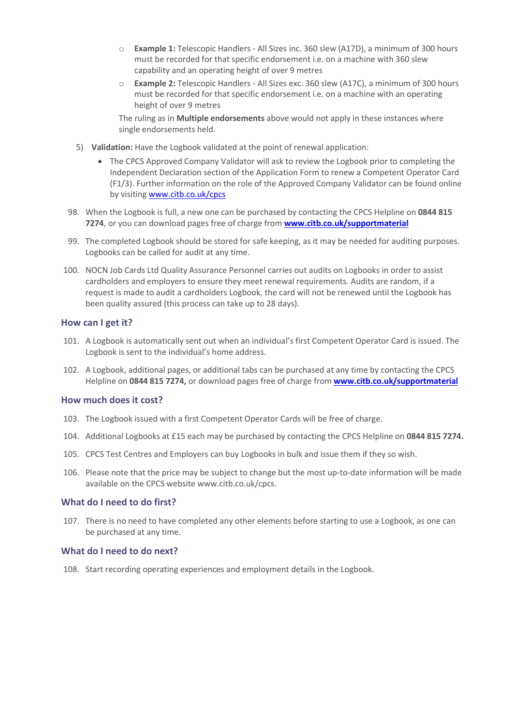- o **Example 1:** Telescopic Handlers All Sizes inc. 360 slew (A17D), a minimum of 300 hours must be recorded for that specific endorsement i.e. on a machine with 360 slew capability and an operating height of over 9 metres
- o **Example 2:** Telescopic Handlers All Sizes exc. 360 slew (A17C), a minimum of 300 hours must be recorded for that specific endorsement i.e. on a machine with an operating height of over 9 metres

The ruling as in **Multiple endorsements** above would not apply in these instances where single endorsements held.

- 5) **Validation:** Have the Logbook validated at the point of renewal application:
	- The CPCS Approved Company Validator will ask to review the Logbook prior to completing the Independent Declaration section of the Application Form to renew a Competent Operator Card (F1/3). Further information on the role of the Approved Company Validator can be found online by visitin[g www.citb.co.uk/cpcs](http://www.citb.co.uk/cpcs)
- 98. When the Logbook is full, a new one can be purchased by contacting the CPCS Helpline on **0844 815 7274**, or you can download pages free of charge from **[www.citb.co.uk/supportmaterial](http://www.citb.co.uk/supportmaterial)**
- 99. The completed Logbook should be stored for safe keeping, as it may be needed for auditing purposes. Logbooks can be called for audit at any time.
- 100. NOCN Job Cards Ltd Quality Assurance Personnel carries out audits on Logbooks in order to assist cardholders and employers to ensure they meet renewal requirements. Audits are random, if a request is made to audit a cardholders Logbook, the card will not be renewed until the Logbook has been quality assured (this process can take up to 28 days).

#### **How can I get it?**

- 101. A Logbook is automatically sent out when an individual's first Competent Operator Card is issued. The Logbook is sent to the individual's home address.
- 102. A Logbook, additional pages, or additional tabs can be purchased at any time by contacting the CPCS Helpline on **0844 815 7274,** or download pages free of charge from **[www.citb.co.uk/supportmaterial](http://www.citb.co.uk/supportmaterial)**

#### **How much does it cost?**

- 103. The Logbook issued with a first Competent Operator Cards will be free of charge.
- 104. Additional Logbooks at £15 each may be purchased by contacting the CPCS Helpline on **0844 815 7274.**
- 105. CPCS Test Centres and Employers can buy Logbooks in bulk and issue them if they so wish.
- 106. Please note that the price may be subject to change but the most up-to-date information will be made available on the CPCS website www.citb.co.uk/cpcs.

#### **What do I need to do first?**

107. There is no need to have completed any other elements before starting to use a Logbook, as one can be purchased at any time.

#### **What do I need to do next?**

108. Start recording operating experiences and employment details in the Logbook.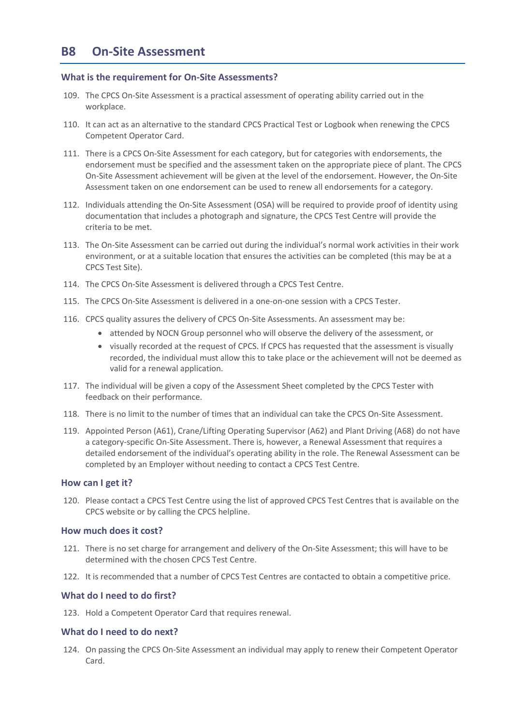### **What is the requirement for On-Site Assessments?**

- 109. The CPCS On-Site Assessment is a practical assessment of operating ability carried out in the workplace.
- 110. It can act as an alternative to the standard CPCS Practical Test or Logbook when renewing the CPCS Competent Operator Card.
- 111. There is a CPCS On-Site Assessment for each category, but for categories with endorsements, the endorsement must be specified and the assessment taken on the appropriate piece of plant. The CPCS On-Site Assessment achievement will be given at the level of the endorsement. However, the On-Site Assessment taken on one endorsement can be used to renew all endorsements for a category.
- 112. Individuals attending the On-Site Assessment (OSA) will be required to provide proof of identity using documentation that includes a photograph and signature, the CPCS Test Centre will provide the criteria to be met.
- 113. The On-Site Assessment can be carried out during the individual's normal work activities in their work environment, or at a suitable location that ensures the activities can be completed (this may be at a CPCS Test Site).
- 114. The CPCS On-Site Assessment is delivered through a CPCS Test Centre.
- 115. The CPCS On-Site Assessment is delivered in a one-on-one session with a CPCS Tester.
- 116. CPCS quality assures the delivery of CPCS On-Site Assessments. An assessment may be:
	- attended by NOCN Group personnel who will observe the delivery of the assessment, or
	- visually recorded at the request of CPCS. If CPCS has requested that the assessment is visually recorded, the individual must allow this to take place or the achievement will not be deemed as valid for a renewal application.
- 117. The individual will be given a copy of the Assessment Sheet completed by the CPCS Tester with feedback on their performance.
- 118. There is no limit to the number of times that an individual can take the CPCS On-Site Assessment.
- 119. Appointed Person (A61), Crane/Lifting Operating Supervisor (A62) and Plant Driving (A68) do not have a category-specific On-Site Assessment. There is, however, a Renewal Assessment that requires a detailed endorsement of the individual's operating ability in the role. The Renewal Assessment can be completed by an Employer without needing to contact a CPCS Test Centre.

### **How can I get it?**

120. Please contact a CPCS Test Centre using the list of approved CPCS Test Centres that is available on the CPCS website or by calling the CPCS helpline.

### **How much does it cost?**

- 121. There is no set charge for arrangement and delivery of the On-Site Assessment; this will have to be determined with the chosen CPCS Test Centre.
- 122. It is recommended that a number of CPCS Test Centres are contacted to obtain a competitive price.

### **What do I need to do first?**

123. Hold a Competent Operator Card that requires renewal.

#### **What do I need to do next?**

124. On passing the CPCS On-Site Assessment an individual may apply to renew their Competent Operator Card.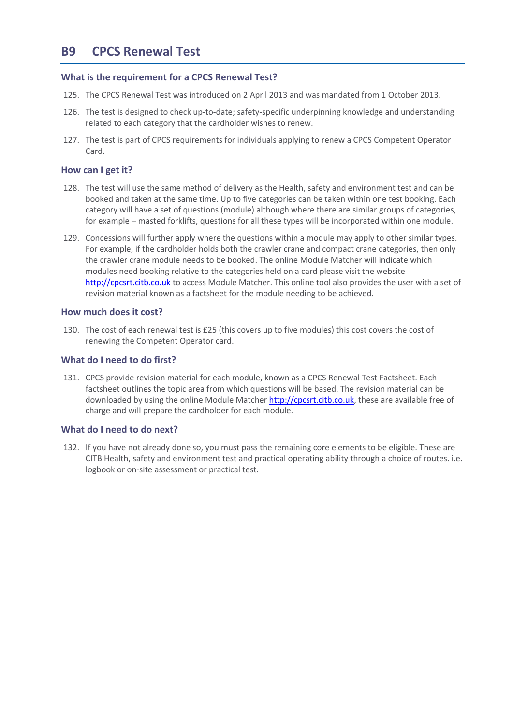# **B9 CPCS Renewal Test**

### **What is the requirement for a CPCS Renewal Test?**

- 125. The CPCS Renewal Test was introduced on 2 April 2013 and was mandated from 1 October 2013.
- 126. The test is designed to check up-to-date; safety-specific underpinning knowledge and understanding related to each category that the cardholder wishes to renew.
- 127. The test is part of CPCS requirements for individuals applying to renew a CPCS Competent Operator Card.

### **How can I get it?**

- 128. The test will use the same method of delivery as the Health, safety and environment test and can be booked and taken at the same time. Up to five categories can be taken within one test booking. Each category will have a set of questions (module) although where there are similar groups of categories, for example – masted forklifts, questions for all these types will be incorporated within one module.
- 129. Concessions will further apply where the questions within a module may apply to other similar types. For example, if the cardholder holds both the crawler crane and compact crane categories, then only the crawler crane module needs to be booked. The online Module Matcher will indicate which modules need booking relative to the categories held on a card please visit the website [http://cpcsrt.citb.co.uk](http://cpcsrt.citb.co.uk/) to access Module Matcher. This online tool also provides the user with a set of revision material known as a factsheet for the module needing to be achieved.

#### **How much does it cost?**

130. The cost of each renewal test is £25 (this covers up to five modules) this cost covers the cost of renewing the Competent Operator card.

#### **What do I need to do first?**

131. CPCS provide revision material for each module, known as a CPCS Renewal Test Factsheet. Each factsheet outlines the topic area from which questions will be based. The revision material can be downloaded by using the online Module Matche[r http://cpcsrt.citb.co.uk,](http://cpcsrt.citb.co.uk/) these are available free of charge and will prepare the cardholder for each module.

### **What do I need to do next?**

132. If you have not already done so, you must pass the remaining core elements to be eligible. These are CITB Health, safety and environment test and practical operating ability through a choice of routes. i.e. logbook or on-site assessment or practical test.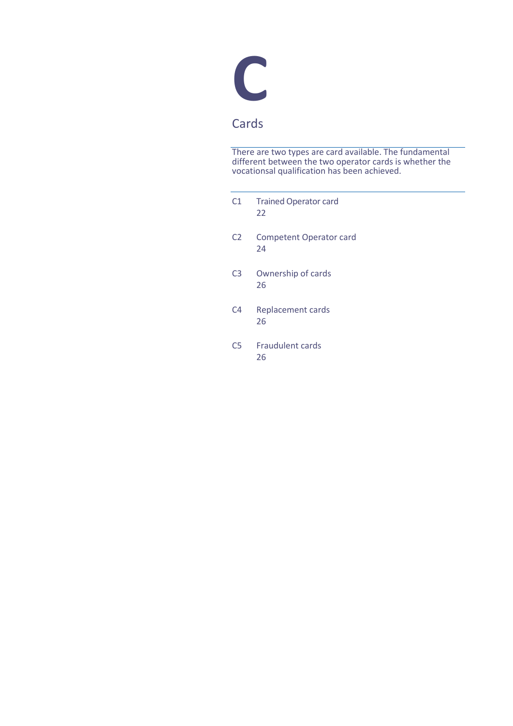

# Cards

There are two types are card available. The fundamental different between the two operator cards is whether the vocationsal qualification has been achieved.

| C1             | <b>Trained Operator card</b><br>22   |
|----------------|--------------------------------------|
| C <sub>2</sub> | <b>Competent Operator card</b><br>24 |
| C <sub>3</sub> | Ownership of cards<br>26             |
| C <sub>4</sub> | Replacement cards<br>26              |
| C <sub>5</sub> | <b>Fraudulent cards</b><br>26        |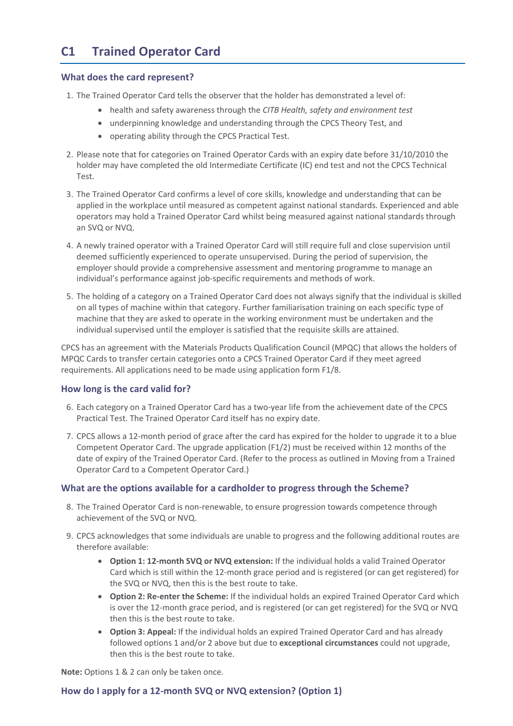# <span id="page-22-0"></span>**C1 Trained Operator Card**

### **What does the card represent?**

- 1. The Trained Operator Card tells the observer that the holder has demonstrated a level of:
	- health and safety awareness through the *CITB Health, safety and environment test*
	- underpinning knowledge and understanding through the CPCS Theory Test, and
	- operating ability through the CPCS Practical Test.
- 2. Please note that for categories on Trained Operator Cards with an expiry date before 31/10/2010 the holder may have completed the old Intermediate Certificate (IC) end test and not the CPCS Technical Test.
- 3. The Trained Operator Card confirms a level of core skills, knowledge and understanding that can be applied in the workplace until measured as competent against national standards. Experienced and able operators may hold a Trained Operator Card whilst being measured against national standards through an SVQ or NVQ.
- 4. A newly trained operator with a Trained Operator Card will still require full and close supervision until deemed sufficiently experienced to operate unsupervised. During the period of supervision, the employer should provide a comprehensive assessment and mentoring programme to manage an individual's performance against job-specific requirements and methods of work.
- 5. The holding of a category on a Trained Operator Card does not always signify that the individual is skilled on all types of machine within that category. Further familiarisation training on each specific type of machine that they are asked to operate in the working environment must be undertaken and the individual supervised until the employer is satisfied that the requisite skills are attained.

CPCS has an agreement with the Materials Products Qualification Council (MPQC) that allows the holders of MPQC Cards to transfer certain categories onto a CPCS Trained Operator Card if they meet agreed requirements. All applications need to be made using application form F1/8.

# **How long is the card valid for?**

- 6. Each category on a Trained Operator Card has a two-year life from the achievement date of the CPCS Practical Test. The Trained Operator Card itself has no expiry date.
- 7. CPCS allows a 12-month period of grace after the card has expired for the holder to upgrade it to a blue Competent Operator Card. The upgrade application (F1/2) must be received within 12 months of the date of expiry of the Trained Operator Card. (Refer to the process as outlined i[n Moving from a Trained](#page-29-0)  Operator Card [to a Competent Operator](#page-29-0) Card.)

# **What are the options available for a cardholder to progress through the Scheme?**

- 8. The Trained Operator Card is non-renewable, to ensure progression towards competence through achievement of the SVQ or NVQ.
- 9. CPCS acknowledges that some individuals are unable to progress and the following additional routes are therefore available:
	- **Option 1: 12-month SVQ or NVQ extension:** If the individual holds a valid Trained Operator Card which is still within the 12-month grace period and is registered (or can get registered) for the SVQ or NVQ, then this is the best route to take.
	- **Option 2: Re-enter the Scheme:** If the individual holds an expired Trained Operator Card which is over the 12-month grace period, and is registered (or can get registered) for the SVQ or NVQ then this is the best route to take.
	- **Option 3: Appeal:** If the individual holds an expired Trained Operator Card and has already followed options 1 and/or 2 above but due to **exceptional circumstances** could not upgrade, then this is the best route to take.

**Note:** Options 1 & 2 can only be taken once.

# **How do I apply for a 12-month SVQ or NVQ extension? (Option 1)**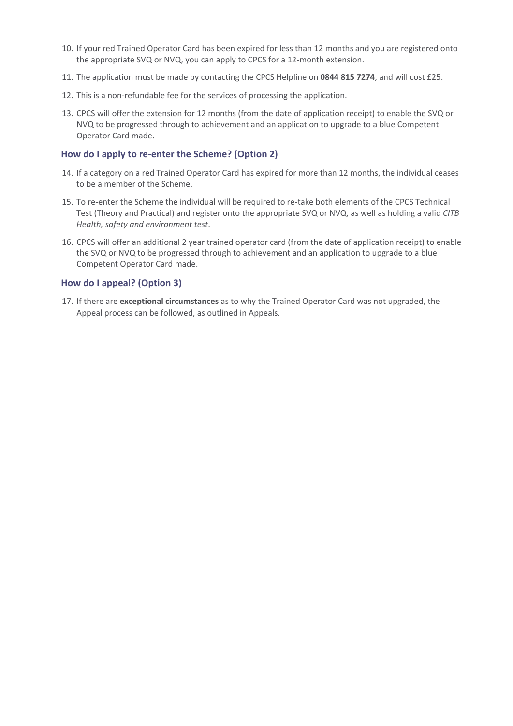- 10. If your red Trained Operator Card has been expired for less than 12 months and you are registered onto the appropriate SVQ or NVQ, you can apply to CPCS for a 12-month extension.
- 11. The application must be made by contacting the CPCS Helpline on **0844 815 7274**, and will cost £25.
- 12. This is a non-refundable fee for the services of processing the application.
- 13. CPCS will offer the extension for 12 months (from the date of application receipt) to enable the SVQ or NVQ to be progressed through to achievement and an application to upgrade to a blue Competent Operator Card made.

## **How do I apply to re-enter the Scheme? (Option 2)**

- 14. If a category on a red Trained Operator Card has expired for more than 12 months, the individual ceases to be a member of the Scheme.
- 15. To re-enter the Scheme the individual will be required to re-take both elements of the CPCS Technical Test (Theory and Practical) and register onto the appropriate SVQ or NVQ, as well as holding a valid *CITB Health, safety and environment test*.
- 16. CPCS will offer an additional 2 year trained operator card (from the date of application receipt) to enable the SVQ or NVQ to be progressed through to achievement and an application to upgrade to a blue Competent Operator Card made.

## **How do I appeal? (Option 3)**

17. If there are **exceptional circumstances** as to why the Trained Operator Card was not upgraded, the Appeal process can be followed, as outlined in Appeals.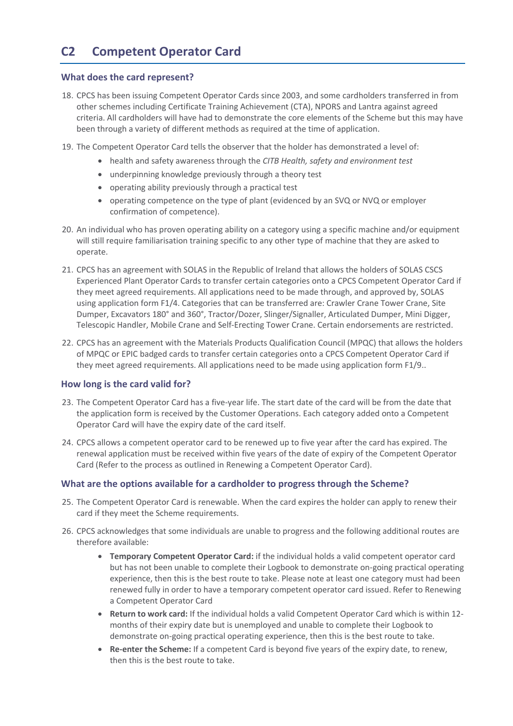# <span id="page-24-0"></span>**C2 Competent Operator Card**

### **What does the card represent?**

- 18. CPCS has been issuing Competent Operator Cards since 2003, and some cardholders transferred in from other schemes including Certificate Training Achievement (CTA), NPORS and Lantra against agreed criteria. All cardholders will have had to demonstrate the core elements of the Scheme but this may have been through a variety of different methods as required at the time of application.
- 19. The Competent Operator Card tells the observer that the holder has demonstrated a level of:
	- health and safety awareness through the *CITB Health, safety and environment test*
	- underpinning knowledge previously through a theory test
	- operating ability previously through a practical test
	- operating competence on the type of plant (evidenced by an SVQ or NVQ or employer confirmation of competence).
- 20. An individual who has proven operating ability on a category using a specific machine and/or equipment will still require familiarisation training specific to any other type of machine that they are asked to operate.
- 21. CPCS has an agreement with SOLAS in the Republic of Ireland that allows the holders of SOLAS CSCS Experienced Plant Operator Cards to transfer certain categories onto a CPCS Competent Operator Card if they meet agreed requirements. All applications need to be made through, and approved by, SOLAS using application form F1/4. Categories that can be transferred are: Crawler Crane Tower Crane, Site Dumper, Excavators 180° and 360°, Tractor/Dozer, Slinger/Signaller, Articulated Dumper, Mini Digger, Telescopic Handler, Mobile Crane and Self-Erecting Tower Crane. Certain endorsements are restricted.
- 22. CPCS has an agreement with the Materials Products Qualification Council (MPQC) that allows the holders of MPQC or EPIC badged cards to transfer certain categories onto a CPCS Competent Operator Card if they meet agreed requirements. All applications need to be made using application form F1/9..

### **How long is the card valid for?**

- 23. The Competent Operator Card has a five-year life. The start date of the card will be from the date that the application form is received by the Customer Operations. Each category added onto a Competent Operator Card will have the expiry date of the card itself.
- 24. CPCS allows a competent operator card to be renewed up to five year after the card has expired. The renewal application must be received within five years of the date of expiry of the Competent Operator Card (Refer to the process as outlined i[n Renewing a Competent Operator](#page-31-0) Card).

### **What are the options available for a cardholder to progress through the Scheme?**

- 25. The Competent Operator Card is renewable. When the card expires the holder can apply to renew their card if they meet the Scheme requirements.
- 26. CPCS acknowledges that some individuals are unable to progress and the following additional routes are therefore available:
	- **Temporary Competent Operator Card:** if the individual holds a valid competent operator card but has not been unable to complete their Logbook to demonstrate on-going practical operating experience, then this is the best route to take. Please note at least one category must had been renewed fully in order to have a temporary competent operator card issued. Refer to [Renewing](#page-31-0)  [a Competent Operator](#page-31-0) Card
	- **Return to work card:** If the individual holds a valid Competent Operator Card which is within 12 months of their expiry date but is unemployed and unable to complete their Logbook to demonstrate on-going practical operating experience, then this is the best route to take.
	- **Re-enter the Scheme:** If a competent Card is beyond five years of the expiry date, to renew, then this is the best route to take.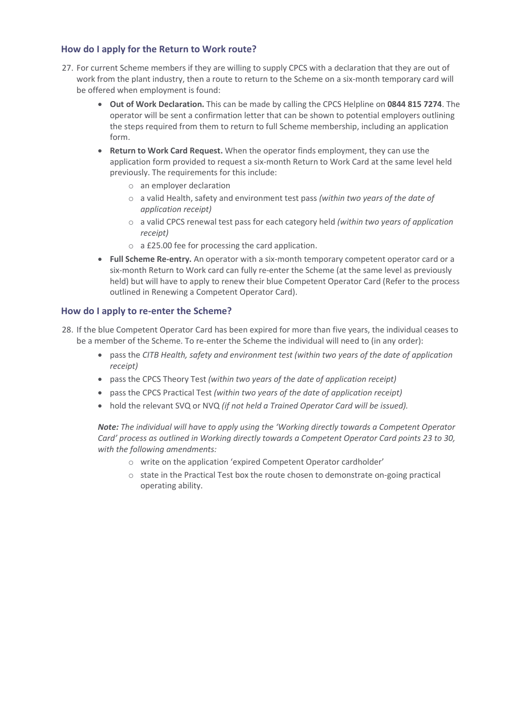# **How do I apply for the Return to Work route?**

- 27. For current Scheme members if they are willing to supply CPCS with a declaration that they are out of work from the plant industry, then a route to return to the Scheme on a six-month temporary card will be offered when employment is found:
	- **Out of Work Declaration.** This can be made by calling the CPCS Helpline on **0844 815 7274**. The operator will be sent a confirmation letter that can be shown to potential employers outlining the steps required from them to return to full Scheme membership, including an application form.
	- **Return to Work Card Request.** When the operator finds employment, they can use the application form provided to request a six-month Return to Work Card at the same level held previously. The requirements for this include:
		- o an employer declaration
		- o a valid Health, safety and environment test pass *(within two years of the date of application receipt)*
		- o a valid CPCS renewal test pass for each category held *(within two years of application receipt)*
		- o a £25.00 fee for processing the card application.
	- **Full Scheme Re-entry.** An operator with a six-month temporary competent operator card or a six-month Return to Work card can fully re-enter the Scheme (at the same level as previously held) but will have to apply to renew their blue Competent Operator Card (Refer to the process outlined in [Renewing a Competent Operator](#page-31-0) Card).

## **How do I apply to re-enter the Scheme?**

- 28. If the blue Competent Operator Card has been expired for more than five years, the individual ceases to be a member of the Scheme. To re-enter the Scheme the individual will need to (in any order):
	- pass the *CITB Health, safety and environment test (within two years of the date of application receipt)*
	- pass the CPCS Theory Test *(within two years of the date of application receipt)*
	- pass the CPCS Practical Test *(within two years of the date of application receipt)*
	- hold the relevant SVQ or NVQ *(if not held a Trained Operator Card will be issued).*

*Note: The individual will have to apply using the 'Working directly towards a Competent Operator Card' process as outlined in [Working directly towards a Competent Operator](#page-30-0) Card points 23 to 30, with the following amendments:*

- o write on the application 'expired Competent Operator cardholder'
- o state in the Practical Test box the route chosen to demonstrate on-going practical operating ability.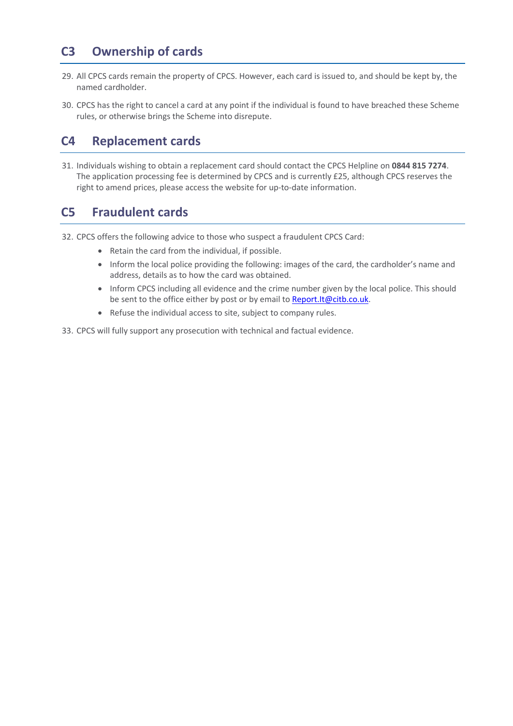# **C3 Ownership of cards**

- 29. All CPCS cards remain the property of CPCS. However, each card is issued to, and should be kept by, the named cardholder.
- 30. CPCS has the right to cancel a card at any point if the individual is found to have breached these Scheme rules, or otherwise brings the Scheme into disrepute.

# **C4 Replacement cards**

31. Individuals wishing to obtain a replacement card should contact the CPCS Helpline on **0844 815 7274**. The application processing fee is determined by CPCS and is currently £25, although CPCS reserves the right to amend prices, please access the website for up-to-date information.

# **C5 Fraudulent cards**

32. CPCS offers the following advice to those who suspect a fraudulent CPCS Card:

- Retain the card from the individual, if possible.
- Inform the local police providing the following: images of the card, the cardholder's name and address, details as to how the card was obtained.
- Inform CPCS including all evidence and the crime number given by the local police. This should be sent to the office either by post or by email to [Report.It@citb.co.uk.](mailto:Report.It@citb.co.uk)
- Refuse the individual access to site, subject to company rules.

33. CPCS will fully support any prosecution with technical and factual evidence.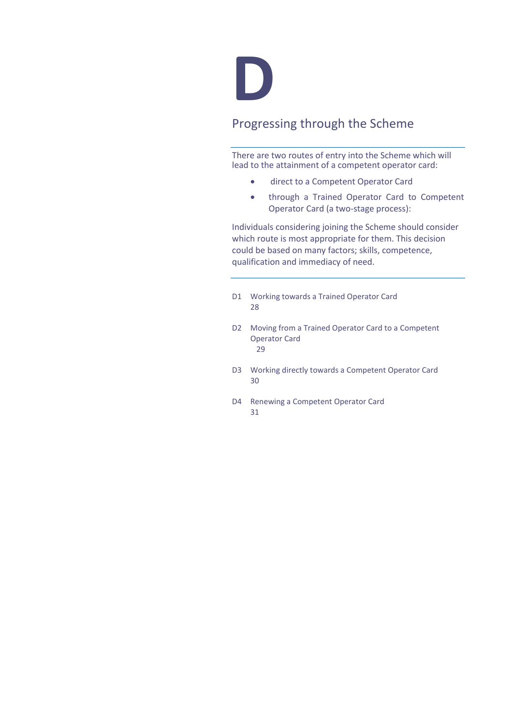

# Progressing through the Scheme

There are two routes of entry into the Scheme which will lead to the attainment of a competent operator card:

- direct to a Competent Operator Card
- through a Trained Operator Card to Competent Operator Card (a two-stage process):

Individuals considering joining the Scheme should consider which route is most appropriate for them. This decision could be based on many factors; skills, competence, qualification and immediacy of need.

- D1 Working towards a Trained Operator Card 28
- D2 Moving from a Trained Operator Card to a Competent Operator Card 29
- D3 Working directly towards a Competent Operator Card 30
- D4 Renewing a Competent Operator Card 31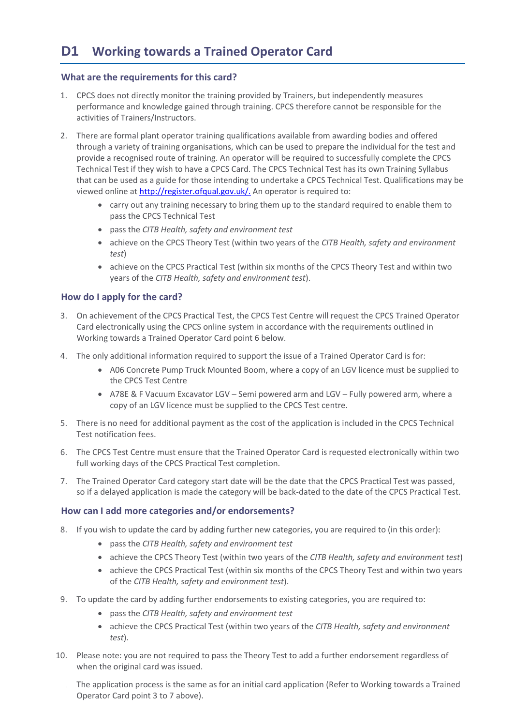# <span id="page-28-0"></span>**What are the requirements for this card?**

- 1. CPCS does not directly monitor the training provided by Trainers, but independently measures performance and knowledge gained through training. CPCS therefore cannot be responsible for the activities of Trainers/Instructors.
- 2. There are formal plant operator training qualifications available from awarding bodies and offered through a variety of training organisations, which can be used to prepare the individual for the test and provide a recognised route of training. An operator will be required to successfully complete the CPCS Technical Test if they wish to have a CPCS Card. The CPCS Technical Test has its own Training Syllabus that can be used as a guide for those intending to undertake a CPCS Technical Test. Qualifications may be viewed online at [http://register.ofqual.gov.uk/.](http://register.ofqual.gov.uk/) An operator is required to:
	- carry out any training necessary to bring them up to the standard required to enable them to pass the CPCS Technical Test
	- pass the *CITB Health, safety and environment test*
	- achieve on the CPCS Theory Test (within two years of the *CITB Health, safety and environment test*)
	- achieve on the CPCS Practical Test (within six months of the CPCS Theory Test and within two years of the *CITB Health, safety and environment test*).

# **How do I apply for the card?**

- 3. On achievement of the CPCS Practical Test, the CPCS Test Centre will request the CPCS Trained Operator Card electronically using the CPCS online system in accordance with the requirements outlined in [Working towards a Trained Operator](#page-28-0) Card point 6 below.
- 4. The only additional information required to support the issue of a Trained Operator Card is for:
	- A06 Concrete Pump Truck Mounted Boom, where a copy of an LGV licence must be supplied to the CPCS Test Centre
	- A78E & F Vacuum Excavator LGV Semi powered arm and LGV Fully powered arm, where a copy of an LGV licence must be supplied to the CPCS Test centre.
- 5. There is no need for additional payment as the cost of the application is included in the CPCS Technical Test notification fees.
- 6. The CPCS Test Centre must ensure that the Trained Operator Card is requested electronically within two full working days of the CPCS Practical Test completion.
- 7. The Trained Operator Card category start date will be the date that the CPCS Practical Test was passed, so if a delayed application is made the category will be back-dated to the date of the CPCS Practical Test.

# **How can I add more categories and/or endorsements?**

- 8. If you wish to update the card by adding further new categories, you are required to (in this order):
	- pass the *CITB Health, safety and environment test*
	- achieve the CPCS Theory Test (within two years of the *CITB Health, safety and environment test*)
	- achieve the CPCS Practical Test (within six months of the CPCS Theory Test and within two years of the *CITB Health, safety and environment test*).
- 9. To update the card by adding further endorsements to existing categories, you are required to:
	- pass the *CITB Health, safety and environment test*
	- achieve the CPCS Practical Test (within two years of the *CITB Health, safety and environment test*).
- 10. Please note: you are not required to pass the Theory Test to add a further endorsement regardless of when the original card was issued.
	- 11. The application process is the same as for an initial card application (Refer to [Working towards a Trained](#page-28-0)  [Operator](#page-28-0) Card point 3 to 7 above).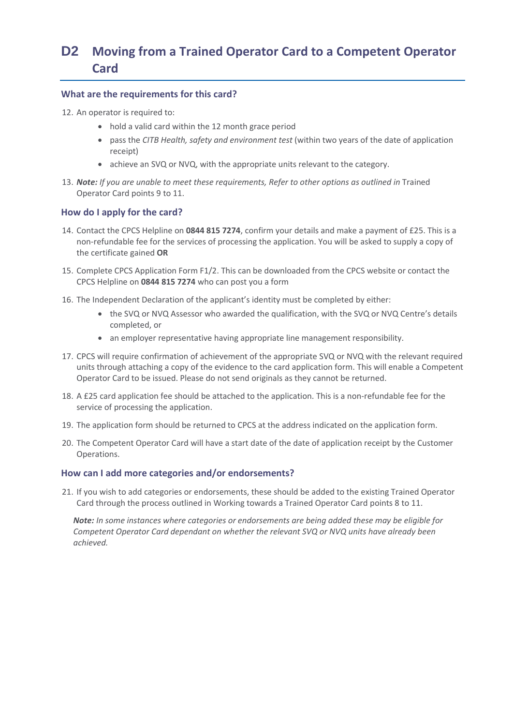# <span id="page-29-0"></span>**D2 Moving from a Trained Operator Card to a Competent Operator Card**

### **What are the requirements for this card?**

12. An operator is required to:

- hold a valid card within the 12 month grace period
- pass the *CITB Health, safety and environment test* (within two years of the date of application receipt)
- achieve an SVQ or NVQ, with the appropriate units relevant to the category.
- 13. *Note: If you are unable to meet these requirements, Refer to other options as outlined in* [Trained](#page-22-0)  [Operator Card](#page-22-0) points 9 to 11.

# **How do I apply for the card?**

- 14. Contact the CPCS Helpline on **0844 815 7274**, confirm your details and make a payment of £25. This is a non-refundable fee for the services of processing the application. You will be asked to supply a copy of the certificate gained **OR**
- 15. Complete CPCS Application Form F1/2. This can be downloaded from the CPCS website or contact the CPCS Helpline on **0844 815 7274** who can post you a form
- 16. The Independent Declaration of the applicant's identity must be completed by either:
	- the SVQ or NVQ Assessor who awarded the qualification, with the SVQ or NVQ Centre's details completed, or
	- an employer representative having appropriate line management responsibility.
- 17. CPCS will require confirmation of achievement of the appropriate SVQ or NVQ with the relevant required units through attaching a copy of the evidence to the card application form. This will enable a Competent Operator Card to be issued. Please do not send originals as they cannot be returned.
- 18. A £25 card application fee should be attached to the application. This is a non-refundable fee for the service of processing the application.
- 19. The application form should be returned to CPCS at the address indicated on the application form.
- 20. The Competent Operator Card will have a start date of the date of application receipt by the Customer Operations.

### **How can I add more categories and/or endorsements?**

21. If you wish to add categories or endorsements, these should be added to the existing Trained Operator Card through the process outlined in Working towards a Trained Operator Card points 8 to 11.

*Note: In some instances where categories or endorsements are being added these may be eligible for Competent Operator Card dependant on whether the relevant SVQ or NVQ units have already been achieved.*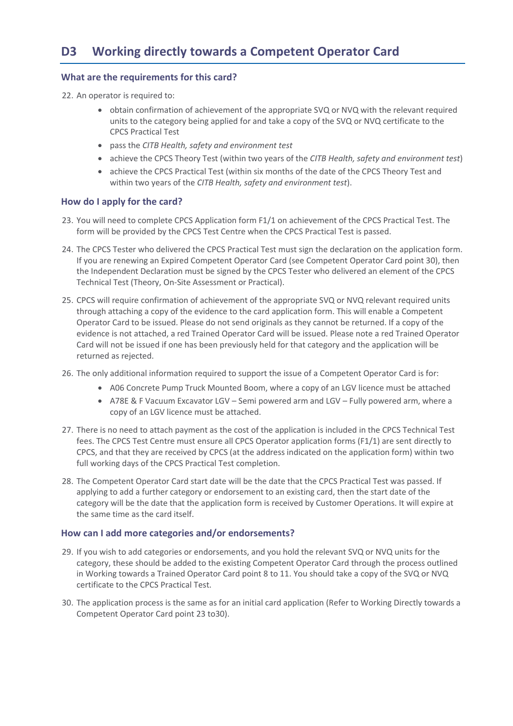## <span id="page-30-0"></span>**What are the requirements for this card?**

22. An operator is required to:

- obtain confirmation of achievement of the appropriate SVQ or NVQ with the relevant required units to the category being applied for and take a copy of the SVQ or NVQ certificate to the CPCS Practical Test
- pass the *CITB Health, safety and environment test*
- achieve the CPCS Theory Test (within two years of the *CITB Health, safety and environment test*)
- achieve the CPCS Practical Test (within six months of the date of the CPCS Theory Test and within two years of the *CITB Health, safety and environment test*).

### **How do I apply for the card?**

- 23. You will need to complete CPCS Application form F1/1 on achievement of the CPCS Practical Test. The form will be provided by the CPCS Test Centre when the CPCS Practical Test is passed.
- 24. The CPCS Tester who delivered the CPCS Practical Test must sign the declaration on the application form. If you are renewing an Expired Competent Operator Card (se[e Competent Operator Card](#page-24-0) point 30), then the Independent Declaration must be signed by the CPCS Tester who delivered an element of the CPCS Technical Test (Theory, On-Site Assessment or Practical).
- 25. CPCS will require confirmation of achievement of the appropriate SVQ or NVQ relevant required units through attaching a copy of the evidence to the card application form. This will enable a Competent Operator Card to be issued. Please do not send originals as they cannot be returned. If a copy of the evidence is not attached, a red Trained Operator Card will be issued. Please note a red Trained Operator Card will not be issued if one has been previously held for that category and the application will be returned as rejected.
- 26. The only additional information required to support the issue of a Competent Operator Card is for:
	- A06 Concrete Pump Truck Mounted Boom, where a copy of an LGV licence must be attached
	- A78E & F Vacuum Excavator LGV Semi powered arm and LGV Fully powered arm, where a copy of an LGV licence must be attached.
- 27. There is no need to attach payment as the cost of the application is included in the CPCS Technical Test fees. The CPCS Test Centre must ensure all CPCS Operator application forms (F1/1) are sent directly to CPCS, and that they are received by CPCS (at the address indicated on the application form) within two full working days of the CPCS Practical Test completion.
- 28. The Competent Operator Card start date will be the date that the CPCS Practical Test was passed. If applying to add a further category or endorsement to an existing card, then the start date of the category will be the date that the application form is received by Customer Operations. It will expire at the same time as the card itself.

### **How can I add more categories and/or endorsements?**

- 29. If you wish to add categories or endorsements, and you hold the relevant SVQ or NVQ units for the category, these should be added to the existing Competent Operator Card through the process outlined in Working towards a Trained Operator Card point 8 to 11. You should take a copy of the SVQ or NVQ certificate to the CPCS Practical Test.
- 30. The application process is the same as for an initial card application (Refer to Working Directly towards a Competent Operator Card point 23 to30).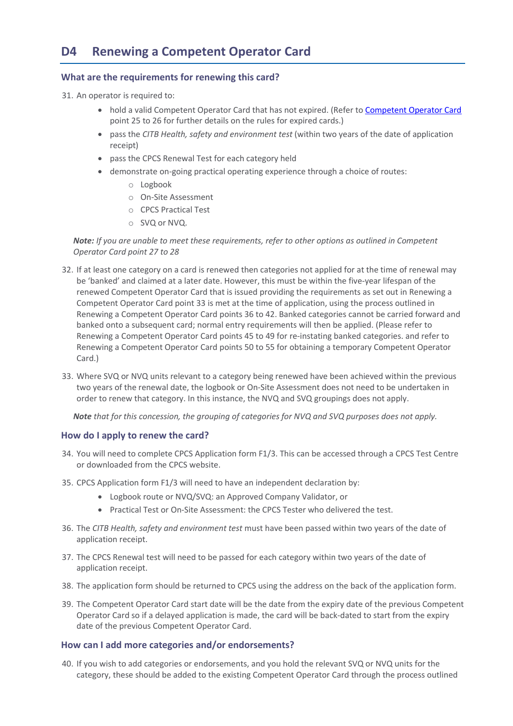## <span id="page-31-0"></span>**What are the requirements for renewing this card?**

31. An operator is required to:

- hold a valid [Competent Operator Card](#page-24-0) that has not expired. (Refer to Competent Operator Card point 25 to 26 for further details on the rules for expired cards.)
- pass the *CITB Health, safety and environment test* (within two years of the date of application receipt)
- pass the CPCS Renewal Test for each category held
- demonstrate on-going practical operating experience through a choice of routes:
	- o Logbook
	- o On-Site Assessment
	- o CPCS Practical Test
	- o SVQ or NVQ.

*Note: If you are unable to meet these requirements, refer to other options as outlined in [Competent](#page-24-0)  [Operator Card](#page-24-0) point 27 to 28*

- 32. If at least one category on a card is renewed then categories not applied for at the time of renewal may be 'banked' and claimed at a later date. However, this must be within the five-year lifespan of the renewed Competent Operator Card that is issued providing the requirements as set out in [Renewing a](#page-31-0)  [Competent Operator](#page-31-0) Card point 33 is met at the time of application, using the process outlined in [Renewing a Competent Operator](#page-31-0) Card points 36 to 42. Banked categories cannot be carried forward and banked onto a subsequent card; normal entry requirements will then be applied. (Please refer to [Renewing a Competent Operator](#page-31-0) Card points 45 to 49 for re-instating banked categories. and refer to [Renewing a Competent Operator](#page-31-0) Card points 50 to 55 for obtaining a temporary Competent Operator Card.)
- 33. Where SVQ or NVQ units relevant to a category being renewed have been achieved within the previous two years of the renewal date, the logbook or On-Site Assessment does not need to be undertaken in order to renew that category. In this instance, the NVQ and SVQ groupings does not apply.

*Note that for this concession, the grouping of categories for NVQ and SVQ purposes does not apply.*

### **How do I apply to renew the card?**

- 34. You will need to complete CPCS Application form F1/3. This can be accessed through a CPCS Test Centre or downloaded from the CPCS website.
- 35. CPCS Application form F1/3 will need to have an independent declaration by:
	- Logbook route or NVQ/SVQ: an Approved Company Validator, or
	- Practical Test or On-Site Assessment: the CPCS Tester who delivered the test.
- 36. The *CITB Health, safety and environment test* must have been passed within two years of the date of application receipt.
- 37. The CPCS Renewal test will need to be passed for each category within two years of the date of application receipt.
- 38. The application form should be returned to CPCS using the address on the back of the application form.
- 39. The Competent Operator Card start date will be the date from the expiry date of the previous Competent Operator Card so if a delayed application is made, the card will be back-dated to start from the expiry date of the previous Competent Operator Card.

# **How can I add more categories and/or endorsements?**

40. If you wish to add categories or endorsements, and you hold the relevant SVQ or NVQ units for the category, these should be added to the existing Competent Operator Card through the process outlined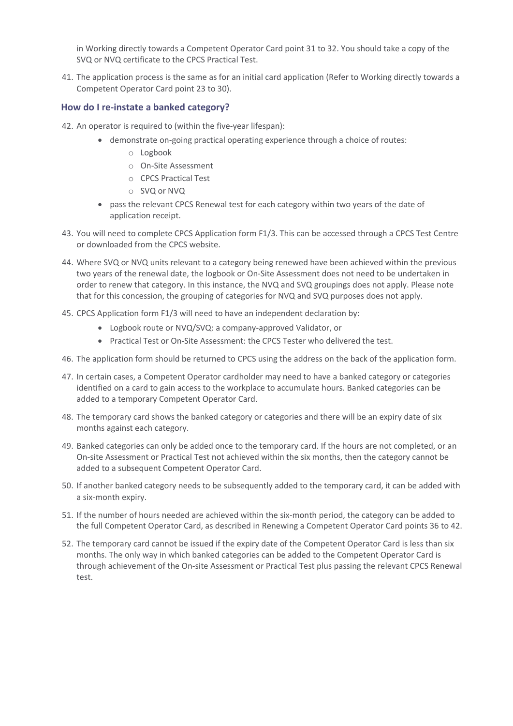in [Working directly towards a Competent Operator](#page-30-0) Card point 31 to 32. You should take a copy of the SVQ or NVQ certificate to the CPCS Practical Test.

41. The application process is the same as for an initial card application (Refer to [Working directly towards a](#page-30-0)  [Competent Operator](#page-30-0) Card point 23 to 30).

## **How do I re-instate a banked category?**

- 42. An operator is required to (within the five-year lifespan):
	- demonstrate on-going practical operating experience through a choice of routes:
		- o Logbook
		- o On-Site Assessment
		- o CPCS Practical Test
		- o SVQ or NVQ
	- pass the relevant CPCS Renewal test for each category within two years of the date of application receipt.
- 43. You will need to complete CPCS Application form F1/3. This can be accessed through a CPCS Test Centre or downloaded from the CPCS website.
- 44. Where SVQ or NVQ units relevant to a category being renewed have been achieved within the previous two years of the renewal date, the logbook or On-Site Assessment does not need to be undertaken in order to renew that category. In this instance, the NVQ and SVQ groupings does not apply. Please note that for this concession, the grouping of categories for NVQ and SVQ purposes does not apply.
- 45. CPCS Application form F1/3 will need to have an independent declaration by:
	- Logbook route or NVQ/SVQ: a company-approved Validator, or
	- Practical Test or On-Site Assessment: the CPCS Tester who delivered the test.
- 46. The application form should be returned to CPCS using the address on the back of the application form.
- 47. In certain cases, a Competent Operator cardholder may need to have a banked category or categories identified on a card to gain access to the workplace to accumulate hours. Banked categories can be added to a temporary Competent Operator Card.
- 48. The temporary card shows the banked category or categories and there will be an expiry date of six months against each category.
- 49. Banked categories can only be added once to the temporary card. If the hours are not completed, or an On-site Assessment or Practical Test not achieved within the six months, then the category cannot be added to a subsequent Competent Operator Card.
- 50. If another banked category needs to be subsequently added to the temporary card, it can be added with a six-month expiry.
- 51. If the number of hours needed are achieved within the six-month period, the category can be added to the full Competent Operator Card, as described in [Renewing a Competent Operator](#page-31-0) Card points 36 to 42.
- 52. The temporary card cannot be issued if the expiry date of the Competent Operator Card is less than six months. The only way in which banked categories can be added to the Competent Operator Card is through achievement of the On-site Assessment or Practical Test plus passing the relevant CPCS Renewal test.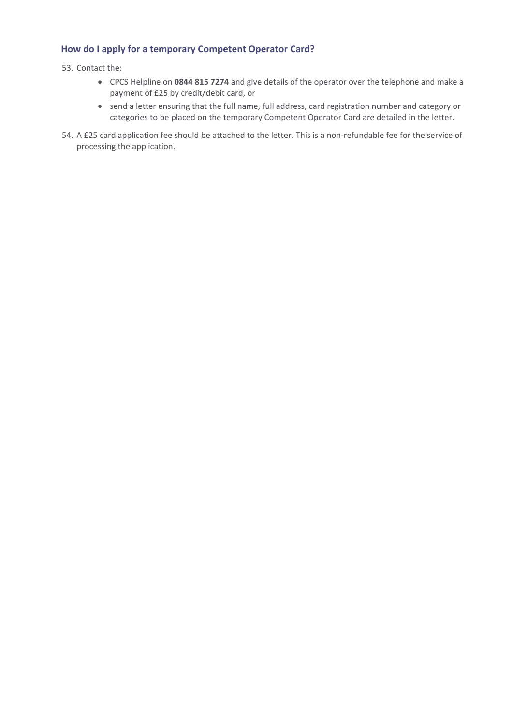# **How do I apply for a temporary Competent Operator Card?**

53. Contact the:

- CPCS Helpline on **0844 815 7274** and give details of the operator over the telephone and make a payment of £25 by credit/debit card, or
- send a letter ensuring that the full name, full address, card registration number and category or categories to be placed on the temporary Competent Operator Card are detailed in the letter.
- 54. A £25 card application fee should be attached to the letter. This is a non-refundable fee for the service of processing the application.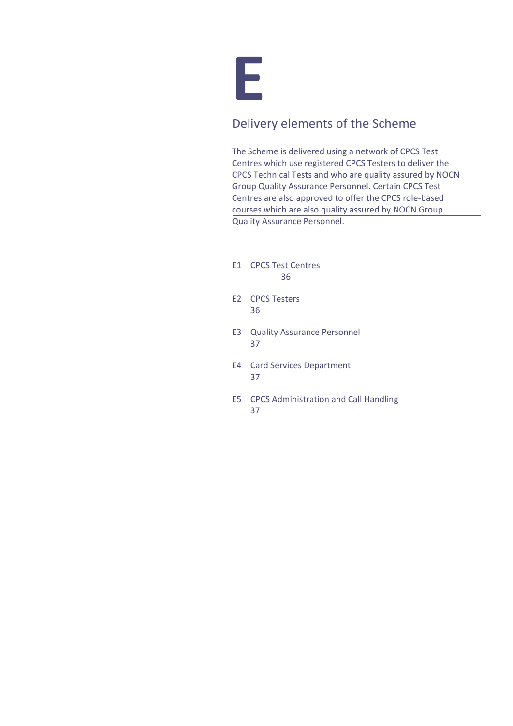

# Delivery elements of the Scheme

The Scheme is delivered using a network of CPCS Test Centres which use registered CPCS Testers to deliver the CPCS Technical Tests and who are quality assured by NOCN Group Quality Assurance Personnel. Certain CPCS Test Centres are also approved to offer the CPCS role-based courses which are also quality assured by NOCN Group Quality Assurance Personnel.

- E1 CPCS Test Centres 36
- E2 CPCS Testers 36
- E3 Quality Assurance Personnel 37
- E4 Card Services Department 37
- E5 CPCS Administration and Call Handling 37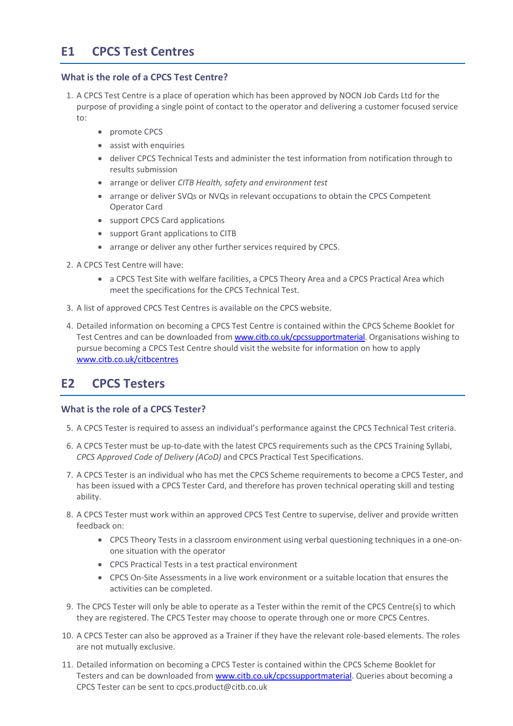# **E1 CPCS Test Centres**

# **What is the role of a CPCS Test Centre?**

- 1. A CPCS Test Centre is a place of operation which has been approved by NOCN Job Cards Ltd for the purpose of providing a single point of contact to the operator and delivering a customer focused service to:
	- promote CPCS
	- assist with enquiries
	- deliver CPCS Technical Tests and administer the test information from notification through to results submission
	- arrange or deliver *CITB Health, safety and environment test*
	- arrange or deliver SVQs or NVQs in relevant occupations to obtain the CPCS Competent Operator Card
	- support CPCS Card applications
	- support Grant applications to CITB
	- arrange or deliver any other further services required by CPCS.
- 2. A CPCS Test Centre will have:
	- a CPCS Test Site with welfare facilities, a CPCS Theory Area and a CPCS Practical Area which meet the specifications for the CPCS Technical Test.
- 3. A list of approved CPCS Test Centres is available on the CPCS website.
- 4. Detailed information on becoming a CPCS Test Centre is contained within the CPCS Scheme Booklet for Test Centres and can be downloaded fro[m www.citb.co.uk/cpcssupportmaterial.](http://www.citb.co.uk/cpcssupportmaterial) Organisations wishing to pursue becoming a CPCS Test Centre should visit the website for information on how to apply [www.citb.co.uk/citbcentres](http://www.citb.co.uk/citbcentres)

# **E2 CPCS Testers**

# **What is the role of a CPCS Tester?**

- 5. A CPCS Tester is required to assess an individual's performance against the CPCS Technical Test criteria.
- 6. A CPCS Tester must be up-to-date with the latest CPCS requirements such as the CPCS Training Syllabi, *CPCS Approved Code of Delivery (ACoD)* and CPCS Practical Test Specifications.
- 7. A CPCS Tester is an individual who has met the CPCS Scheme requirements to become a CPCS Tester, and has been issued with a CPCS Tester Card, and therefore has proven technical operating skill and testing ability.
- 8. A CPCS Tester must work within an approved CPCS Test Centre to supervise, deliver and provide written feedback on:
	- CPCS Theory Tests in a classroom environment using verbal questioning techniques in a one-onone situation with the operator
	- CPCS Practical Tests in a test practical environment
	- CPCS On-Site Assessments in a live work environment or a suitable location that ensures the activities can be completed.
- 9. The CPCS Tester will only be able to operate as a Tester within the remit of the CPCS Centre(s) to which they are registered. The CPCS Tester may choose to operate through one or more CPCS Centres.
- 10. A CPCS Tester can also be approved as a Trainer if they have the relevant role-based elements. The roles are not mutually exclusive.
- 11. Detailed information on becoming a CPCS Tester is contained within the CPCS Scheme Booklet for Testers and can be downloaded from [www.citb.co.uk/cpcssupportmaterial.](http://www.citb.co.uk/cpcssupportmaterial) Queries about becoming a CPCS Tester can be sent t[o cpcs.product@citb.co.uk](mailto:cpcs.product@cskills.org)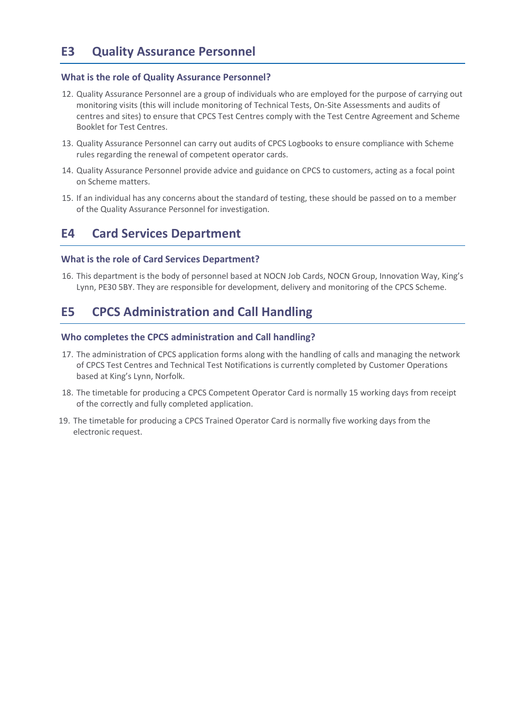# **E3 Quality Assurance Personnel**

### **What is the role of Quality Assurance Personnel?**

- 12. Quality Assurance Personnel are a group of individuals who are employed for the purpose of carrying out monitoring visits (this will include monitoring of Technical Tests, On-Site Assessments and audits of centres and sites) to ensure that CPCS Test Centres comply with the Test Centre Agreement and Scheme Booklet for Test Centres.
- 13. Quality Assurance Personnel can carry out audits of CPCS Logbooks to ensure compliance with Scheme rules regarding the renewal of competent operator cards.
- 14. Quality Assurance Personnel provide advice and guidance on CPCS to customers, acting as a focal point on Scheme matters.
- 15. If an individual has any concerns about the standard of testing, these should be passed on to a member of the Quality Assurance Personnel for investigation.

# **E4 Card Services Department**

### **What is the role of Card Services Department?**

16. This department is the body of personnel based at NOCN Job Cards, NOCN Group, Innovation Way, King's Lynn, PE30 5BY. They are responsible for development, delivery and monitoring of the CPCS Scheme.

# **E5 CPCS Administration and Call Handling**

## **Who completes the CPCS administration and Call handling?**

- 17. The administration of CPCS application forms along with the handling of calls and managing the network of CPCS Test Centres and Technical Test Notifications is currently completed by Customer Operations based at King's Lynn, Norfolk.
- 18. The timetable for producing a CPCS Competent Operator Card is normally 15 working days from receipt of the correctly and fully completed application.
- 19. The timetable for producing a CPCS Trained Operator Card is normally five working days from the electronic request.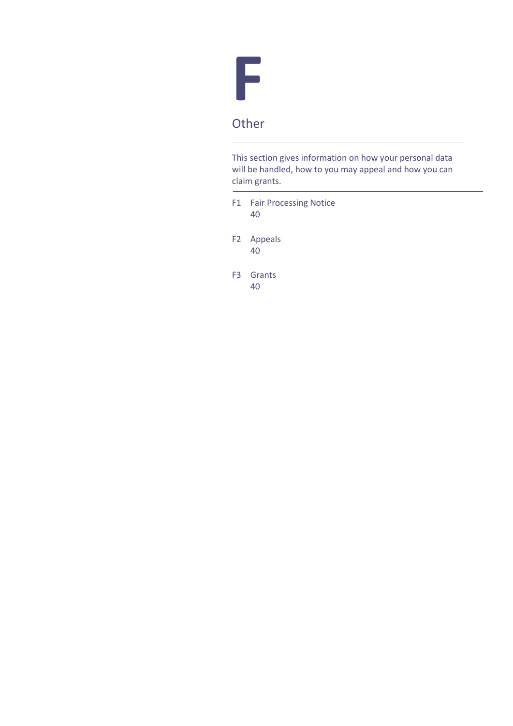

This section gives information on how your personal data will be handled, how to you may appeal and how you can claim grants.

- F1 Fair Processing Notice 40
- F2 Appeals 40
- F3 Grants 40